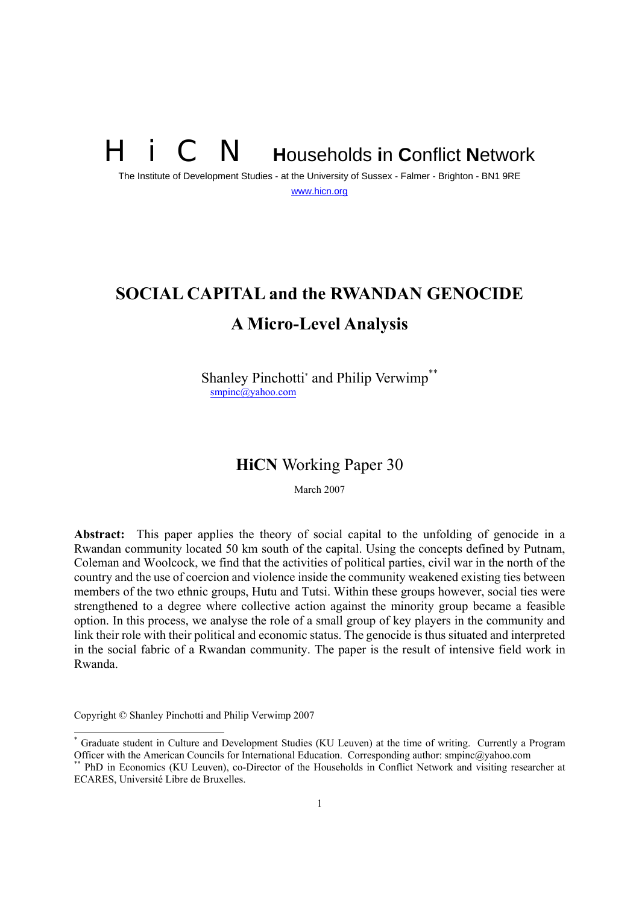**i** C **N Households in Conflict Network** 

The Institute of Development Studies - at the University of Sussex - Falmer - Brighton - BN1 9RE www.hicn.org

# **SOCIAL CAPITAL and the RWANDAN GENOCIDE A Micro-Level Analysis**

Shanley Pinchotti<sup>\*</sup> and Philip Verwimp<sup>\*\*</sup> smpinc@yahoo.com

# **HiCN** Working Paper 30

March 2007

**Abstract:** This paper applies the theory of social capital to the unfolding of genocide in a Rwandan community located 50 km south of the capital. Using the concepts defined by Putnam, Coleman and Woolcock, we find that the activities of political parties, civil war in the north of the country and the use of coercion and violence inside the community weakened existing ties between members of the two ethnic groups, Hutu and Tutsi. Within these groups however, social ties were strengthened to a degree where collective action against the minority group became a feasible option. In this process, we analyse the role of a small group of key players in the community and link their role with their political and economic status. The genocide is thus situated and interpreted in the social fabric of a Rwandan community. The paper is the result of intensive field work in Rwanda.

Copyright © Shanley Pinchotti and Philip Verwimp 2007

1

\* Graduate student in Culture and Development Studies (KU Leuven) at the time of writing. Currently a Program Officer with the American Councils for International Education. Corresponding author: smpinc@yahoo.com

PhD in Economics (KU Leuven), co-Director of the Households in Conflict Network and visiting researcher at ECARES, Université Libre de Bruxelles.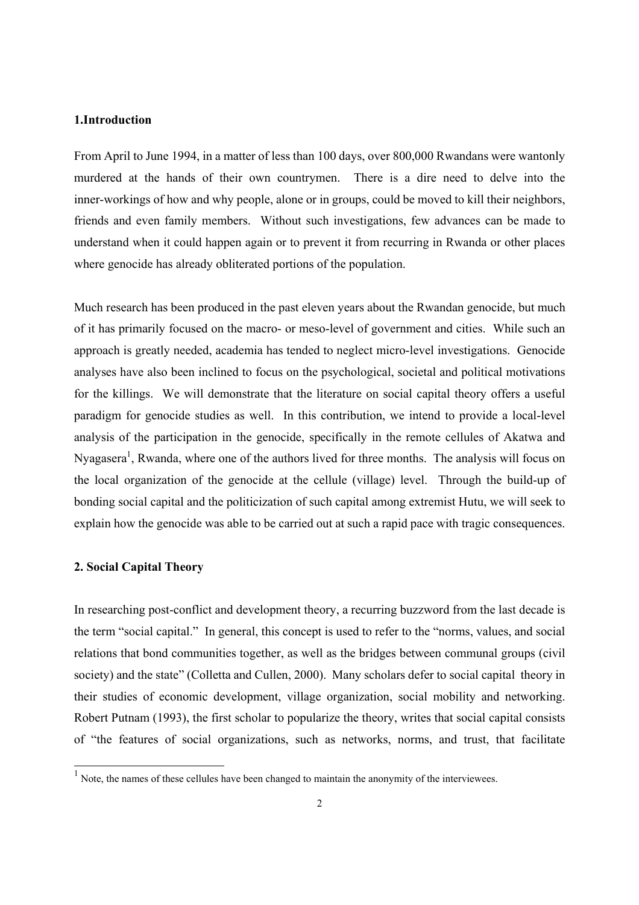#### **1.Introduction**

From April to June 1994, in a matter of less than 100 days, over 800,000 Rwandans were wantonly murdered at the hands of their own countrymen. There is a dire need to delve into the inner-workings of how and why people, alone or in groups, could be moved to kill their neighbors, friends and even family members. Without such investigations, few advances can be made to understand when it could happen again or to prevent it from recurring in Rwanda or other places where genocide has already obliterated portions of the population.

Much research has been produced in the past eleven years about the Rwandan genocide, but much of it has primarily focused on the macro- or meso-level of government and cities. While such an approach is greatly needed, academia has tended to neglect micro-level investigations. Genocide analyses have also been inclined to focus on the psychological, societal and political motivations for the killings. We will demonstrate that the literature on social capital theory offers a useful paradigm for genocide studies as well. In this contribution, we intend to provide a local-level analysis of the participation in the genocide, specifically in the remote cellules of Akatwa and Nyagasera<sup>1</sup>, Rwanda, where one of the authors lived for three months. The analysis will focus on the local organization of the genocide at the cellule (village) level. Through the build-up of bonding social capital and the politicization of such capital among extremist Hutu, we will seek to explain how the genocide was able to be carried out at such a rapid pace with tragic consequences.

#### **2. Social Capital Theory**

In researching post-conflict and development theory, a recurring buzzword from the last decade is the term "social capital." In general, this concept is used to refer to the "norms, values, and social relations that bond communities together, as well as the bridges between communal groups (civil society) and the state" (Colletta and Cullen, 2000). Many scholars defer to social capital theory in their studies of economic development, village organization, social mobility and networking. Robert Putnam (1993), the first scholar to popularize the theory, writes that social capital consists of "the features of social organizations, such as networks, norms, and trust, that facilitate

<sup>&</sup>lt;sup>1</sup> Note, the names of these cellules have been changed to maintain the anonymity of the interviewees.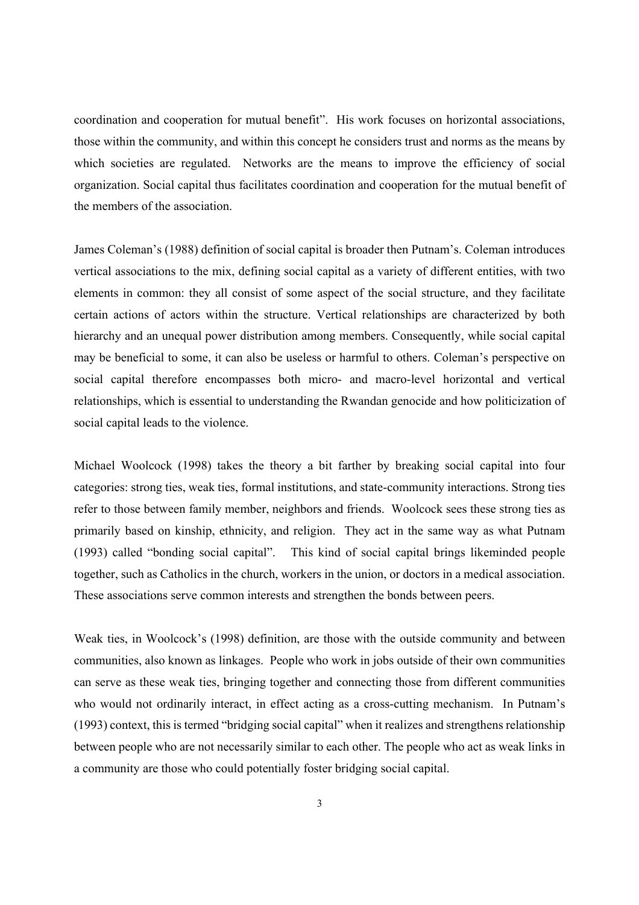coordination and cooperation for mutual benefit". His work focuses on horizontal associations, those within the community, and within this concept he considers trust and norms as the means by which societies are regulated. Networks are the means to improve the efficiency of social organization. Social capital thus facilitates coordination and cooperation for the mutual benefit of the members of the association.

James Coleman's (1988) definition of social capital is broader then Putnam's. Coleman introduces vertical associations to the mix, defining social capital as a variety of different entities, with two elements in common: they all consist of some aspect of the social structure, and they facilitate certain actions of actors within the structure. Vertical relationships are characterized by both hierarchy and an unequal power distribution among members. Consequently, while social capital may be beneficial to some, it can also be useless or harmful to others. Coleman's perspective on social capital therefore encompasses both micro- and macro-level horizontal and vertical relationships, which is essential to understanding the Rwandan genocide and how politicization of social capital leads to the violence.

Michael Woolcock (1998) takes the theory a bit farther by breaking social capital into four categories: strong ties, weak ties, formal institutions, and state-community interactions. Strong ties refer to those between family member, neighbors and friends. Woolcock sees these strong ties as primarily based on kinship, ethnicity, and religion. They act in the same way as what Putnam (1993) called "bonding social capital". This kind of social capital brings likeminded people together, such as Catholics in the church, workers in the union, or doctors in a medical association. These associations serve common interests and strengthen the bonds between peers.

Weak ties, in Woolcock's (1998) definition, are those with the outside community and between communities, also known as linkages. People who work in jobs outside of their own communities can serve as these weak ties, bringing together and connecting those from different communities who would not ordinarily interact, in effect acting as a cross-cutting mechanism. In Putnam's (1993) context, this is termed "bridging social capital" when it realizes and strengthens relationship between people who are not necessarily similar to each other. The people who act as weak links in a community are those who could potentially foster bridging social capital.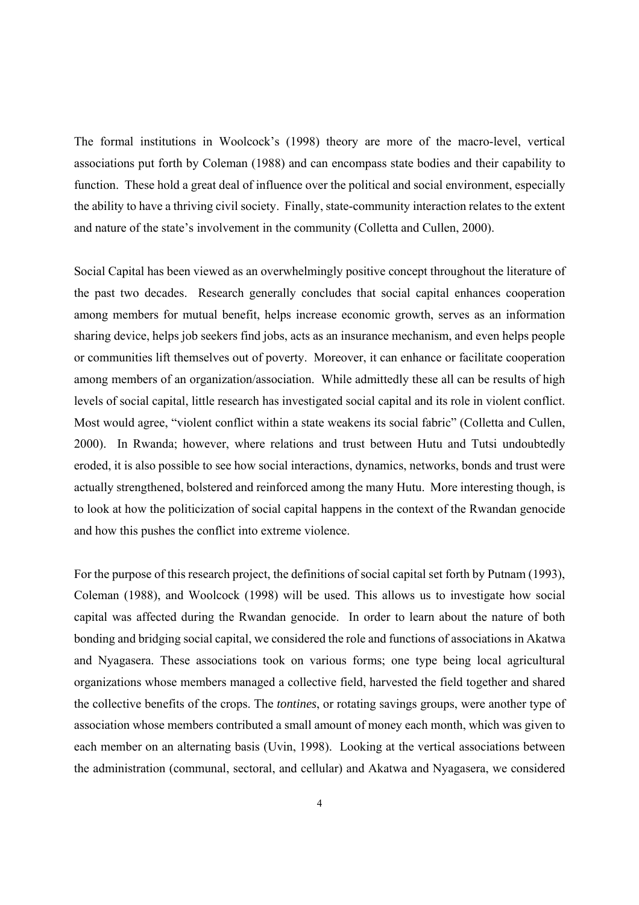The formal institutions in Woolcock's (1998) theory are more of the macro-level, vertical associations put forth by Coleman (1988) and can encompass state bodies and their capability to function. These hold a great deal of influence over the political and social environment, especially the ability to have a thriving civil society. Finally, state-community interaction relates to the extent and nature of the state's involvement in the community (Colletta and Cullen, 2000).

Social Capital has been viewed as an overwhelmingly positive concept throughout the literature of the past two decades. Research generally concludes that social capital enhances cooperation among members for mutual benefit, helps increase economic growth, serves as an information sharing device, helps job seekers find jobs, acts as an insurance mechanism, and even helps people or communities lift themselves out of poverty. Moreover, it can enhance or facilitate cooperation among members of an organization/association. While admittedly these all can be results of high levels of social capital, little research has investigated social capital and its role in violent conflict. Most would agree, "violent conflict within a state weakens its social fabric" (Colletta and Cullen, 2000). In Rwanda; however, where relations and trust between Hutu and Tutsi undoubtedly eroded, it is also possible to see how social interactions, dynamics, networks, bonds and trust were actually strengthened, bolstered and reinforced among the many Hutu. More interesting though, is to look at how the politicization of social capital happens in the context of the Rwandan genocide and how this pushes the conflict into extreme violence.

For the purpose of this research project, the definitions of social capital set forth by Putnam (1993), Coleman (1988), and Woolcock (1998) will be used. This allows us to investigate how social capital was affected during the Rwandan genocide. In order to learn about the nature of both bonding and bridging social capital, we considered the role and functions of associations in Akatwa and Nyagasera. These associations took on various forms; one type being local agricultural organizations whose members managed a collective field, harvested the field together and shared the collective benefits of the crops. The *tontines*, or rotating savings groups, were another type of association whose members contributed a small amount of money each month, which was given to each member on an alternating basis (Uvin, 1998). Looking at the vertical associations between the administration (communal, sectoral, and cellular) and Akatwa and Nyagasera, we considered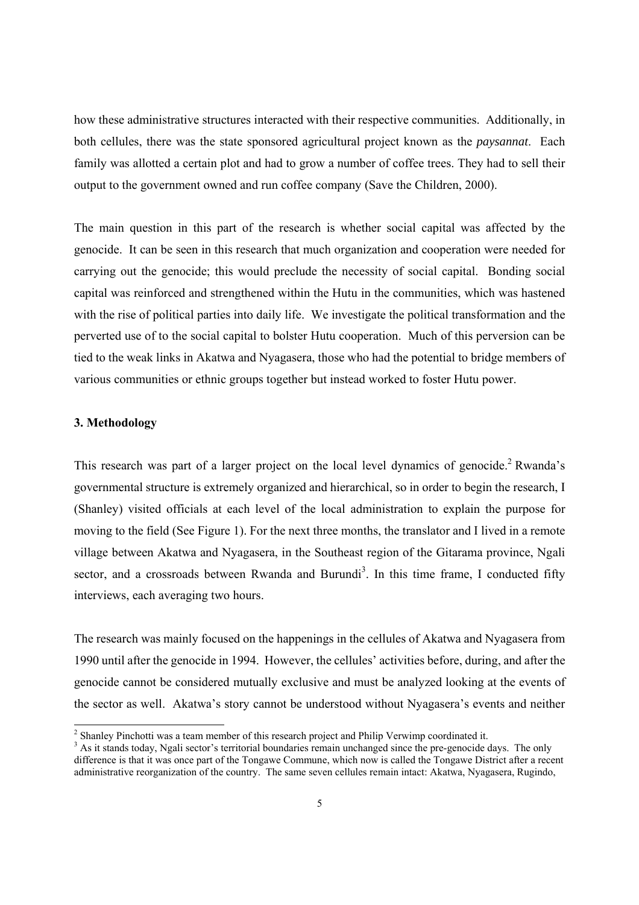how these administrative structures interacted with their respective communities. Additionally, in both cellules, there was the state sponsored agricultural project known as the *paysannat*. Each family was allotted a certain plot and had to grow a number of coffee trees. They had to sell their output to the government owned and run coffee company (Save the Children, 2000).

The main question in this part of the research is whether social capital was affected by the genocide. It can be seen in this research that much organization and cooperation were needed for carrying out the genocide; this would preclude the necessity of social capital. Bonding social capital was reinforced and strengthened within the Hutu in the communities, which was hastened with the rise of political parties into daily life. We investigate the political transformation and the perverted use of to the social capital to bolster Hutu cooperation. Much of this perversion can be tied to the weak links in Akatwa and Nyagasera, those who had the potential to bridge members of various communities or ethnic groups together but instead worked to foster Hutu power.

# **3. Methodology**

This research was part of a larger project on the local level dynamics of genocide.<sup>2</sup> Rwanda's governmental structure is extremely organized and hierarchical, so in order to begin the research, I (Shanley) visited officials at each level of the local administration to explain the purpose for moving to the field (See Figure 1). For the next three months, the translator and I lived in a remote village between Akatwa and Nyagasera, in the Southeast region of the Gitarama province, Ngali sector, and a crossroads between Rwanda and Burundi<sup>3</sup>. In this time frame, I conducted fifty interviews, each averaging two hours.

The research was mainly focused on the happenings in the cellules of Akatwa and Nyagasera from 1990 until after the genocide in 1994. However, the cellules' activities before, during, and after the genocide cannot be considered mutually exclusive and must be analyzed looking at the events of the sector as well. Akatwa's story cannot be understood without Nyagasera's events and neither

<sup>&</sup>lt;sup>2</sup> Shanley Pinchotti was a team member of this research project and Philip Verwimp coordinated it.

 $3$  As it stands today, Ngali sector's territorial boundaries remain unchanged since the pre-genocide days. The only difference is that it was once part of the Tongawe Commune, which now is called the Tongawe District after a recent administrative reorganization of the country. The same seven cellules remain intact: Akatwa, Nyagasera, Rugindo,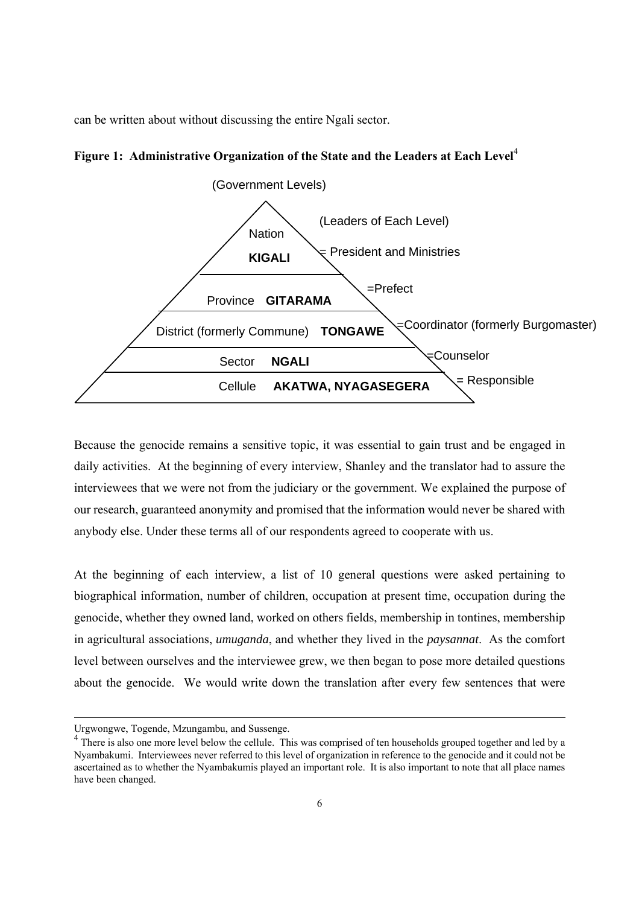can be written about without discussing the entire Ngali sector.



**Figure 1: Administrative Organization of the State and the Leaders at Each Level**<sup>4</sup>

Because the genocide remains a sensitive topic, it was essential to gain trust and be engaged in daily activities. At the beginning of every interview, Shanley and the translator had to assure the interviewees that we were not from the judiciary or the government. We explained the purpose of our research, guaranteed anonymity and promised that the information would never be shared with anybody else. Under these terms all of our respondents agreed to cooperate with us.

At the beginning of each interview, a list of 10 general questions were asked pertaining to biographical information, number of children, occupation at present time, occupation during the genocide, whether they owned land, worked on others fields, membership in tontines, membership in agricultural associations, *umuganda*, and whether they lived in the *paysannat*. As the comfort level between ourselves and the interviewee grew, we then began to pose more detailed questions about the genocide. We would write down the translation after every few sentences that were

1

Urgwongwe, Togende, Mzungambu, and Sussenge.

<sup>&</sup>lt;sup>4</sup> There is also one more level below the cellule. This was comprised of ten households grouped together and led by a Nyambakumi. Interviewees never referred to this level of organization in reference to the genocide and it could not be ascertained as to whether the Nyambakumis played an important role. It is also important to note that all place names have been changed.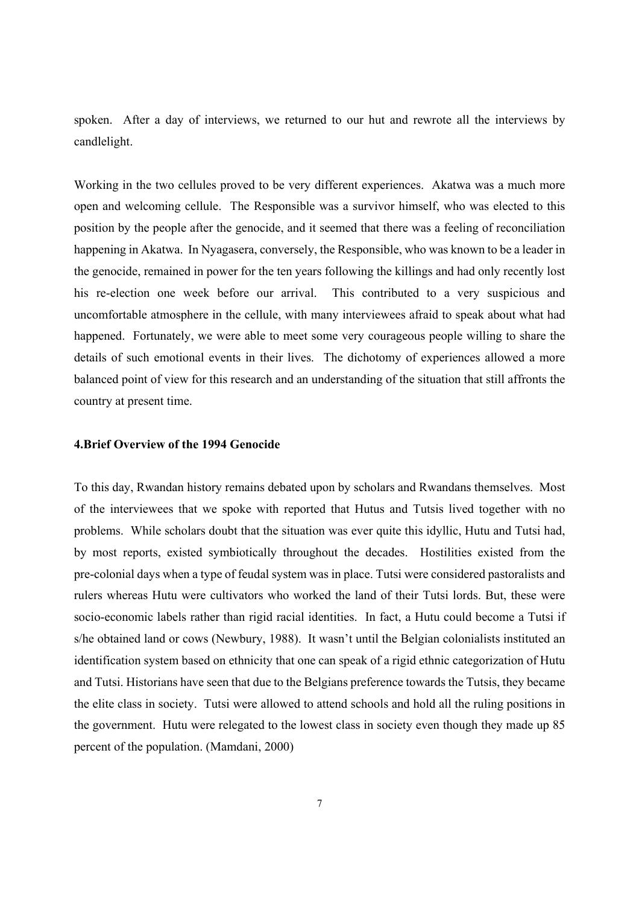spoken. After a day of interviews, we returned to our hut and rewrote all the interviews by candlelight.

Working in the two cellules proved to be very different experiences. Akatwa was a much more open and welcoming cellule. The Responsible was a survivor himself, who was elected to this position by the people after the genocide, and it seemed that there was a feeling of reconciliation happening in Akatwa. In Nyagasera, conversely, the Responsible, who was known to be a leader in the genocide, remained in power for the ten years following the killings and had only recently lost his re-election one week before our arrival. This contributed to a very suspicious and uncomfortable atmosphere in the cellule, with many interviewees afraid to speak about what had happened. Fortunately, we were able to meet some very courageous people willing to share the details of such emotional events in their lives. The dichotomy of experiences allowed a more balanced point of view for this research and an understanding of the situation that still affronts the country at present time.

# **4.Brief Overview of the 1994 Genocide**

To this day, Rwandan history remains debated upon by scholars and Rwandans themselves. Most of the interviewees that we spoke with reported that Hutus and Tutsis lived together with no problems. While scholars doubt that the situation was ever quite this idyllic, Hutu and Tutsi had, by most reports, existed symbiotically throughout the decades. Hostilities existed from the pre-colonial days when a type of feudal system was in place. Tutsi were considered pastoralists and rulers whereas Hutu were cultivators who worked the land of their Tutsi lords. But, these were socio-economic labels rather than rigid racial identities. In fact, a Hutu could become a Tutsi if s/he obtained land or cows (Newbury, 1988). It wasn't until the Belgian colonialists instituted an identification system based on ethnicity that one can speak of a rigid ethnic categorization of Hutu and Tutsi. Historians have seen that due to the Belgians preference towards the Tutsis, they became the elite class in society. Tutsi were allowed to attend schools and hold all the ruling positions in the government. Hutu were relegated to the lowest class in society even though they made up 85 percent of the population. (Mamdani, 2000)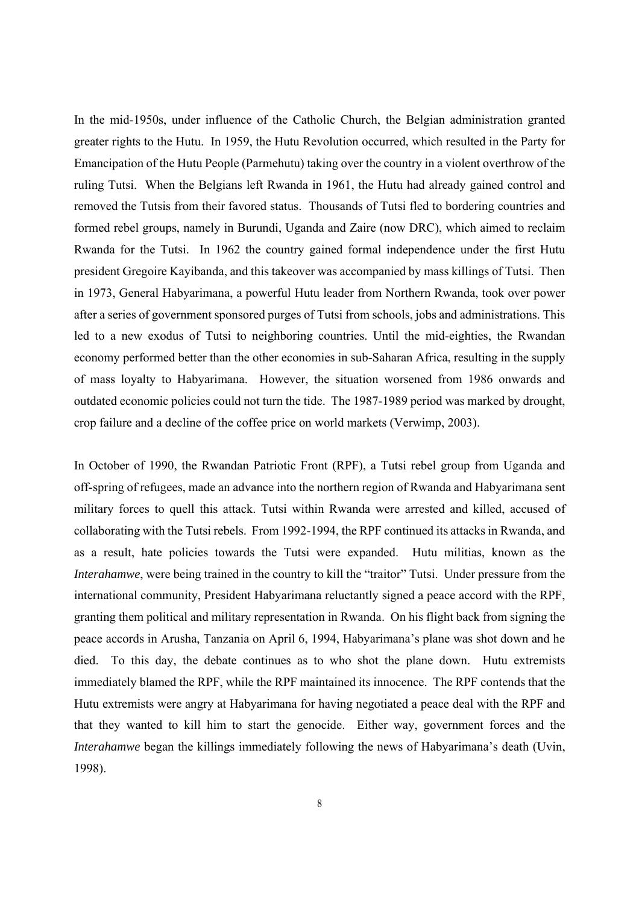In the mid-1950s, under influence of the Catholic Church, the Belgian administration granted greater rights to the Hutu. In 1959, the Hutu Revolution occurred, which resulted in the Party for Emancipation of the Hutu People (Parmehutu) taking over the country in a violent overthrow of the ruling Tutsi. When the Belgians left Rwanda in 1961, the Hutu had already gained control and removed the Tutsis from their favored status. Thousands of Tutsi fled to bordering countries and formed rebel groups, namely in Burundi, Uganda and Zaire (now DRC), which aimed to reclaim Rwanda for the Tutsi. In 1962 the country gained formal independence under the first Hutu president Gregoire Kayibanda, and this takeover was accompanied by mass killings of Tutsi. Then in 1973, General Habyarimana, a powerful Hutu leader from Northern Rwanda, took over power after a series of government sponsored purges of Tutsi from schools, jobs and administrations. This led to a new exodus of Tutsi to neighboring countries. Until the mid-eighties, the Rwandan economy performed better than the other economies in sub-Saharan Africa, resulting in the supply of mass loyalty to Habyarimana. However, the situation worsened from 1986 onwards and outdated economic policies could not turn the tide. The 1987-1989 period was marked by drought, crop failure and a decline of the coffee price on world markets (Verwimp, 2003).

In October of 1990, the Rwandan Patriotic Front (RPF), a Tutsi rebel group from Uganda and off-spring of refugees, made an advance into the northern region of Rwanda and Habyarimana sent military forces to quell this attack. Tutsi within Rwanda were arrested and killed, accused of collaborating with the Tutsi rebels. From 1992-1994, the RPF continued its attacks in Rwanda, and as a result, hate policies towards the Tutsi were expanded. Hutu militias, known as the *Interahamwe*, were being trained in the country to kill the "traitor" Tutsi. Under pressure from the international community, President Habyarimana reluctantly signed a peace accord with the RPF, granting them political and military representation in Rwanda. On his flight back from signing the peace accords in Arusha, Tanzania on April 6, 1994, Habyarimana's plane was shot down and he died. To this day, the debate continues as to who shot the plane down. Hutu extremists immediately blamed the RPF, while the RPF maintained its innocence. The RPF contends that the Hutu extremists were angry at Habyarimana for having negotiated a peace deal with the RPF and that they wanted to kill him to start the genocide. Either way, government forces and the *Interahamwe* began the killings immediately following the news of Habyarimana's death (Uvin, 1998).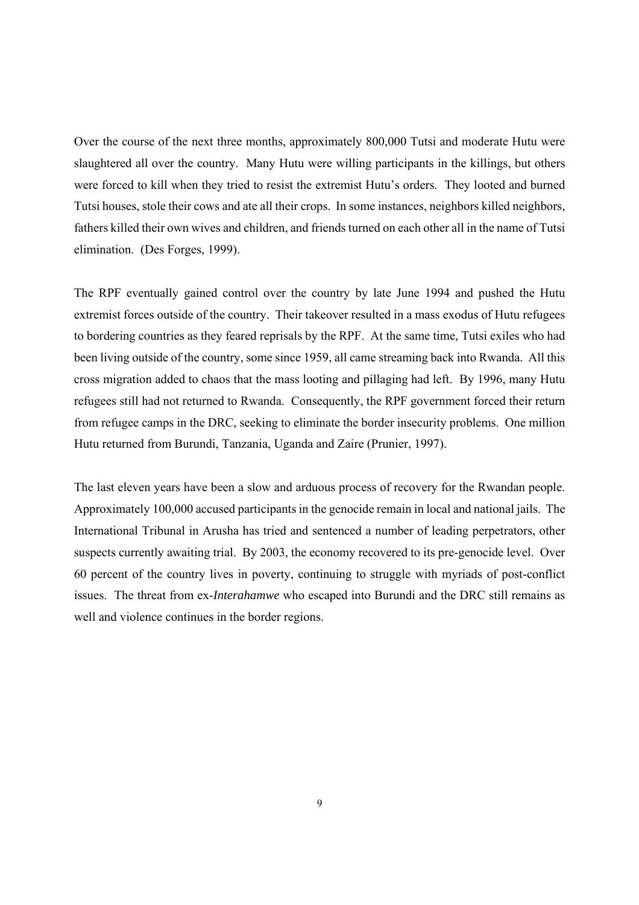Over the course of the next three months, approximately 800,000 Tutsi and moderate Hutu were slaughtered all over the country. Many Hutu were willing participants in the killings, but others were forced to kill when they tried to resist the extremist Hutu's orders. They looted and burned Tutsi houses, stole their cows and ate all their crops. In some instances, neighbors killed neighbors, fathers killed their own wives and children, and friends turned on each other all in the name of Tutsi elimination. (Des Forges, 1999).

The RPF eventually gained control over the country by late June 1994 and pushed the Hutu extremist forces outside of the country. Their takeover resulted in a mass exodus of Hutu refugees to bordering countries as they feared reprisals by the RPF. At the same time, Tutsi exiles who had been living outside of the country, some since 1959, all came streaming back into Rwanda. All this cross migration added to chaos that the mass looting and pillaging had left. By 1996, many Hutu refugees still had not returned to Rwanda. Consequently, the RPF government forced their return from refugee camps in the DRC, seeking to eliminate the border insecurity problems. One million Hutu returned from Burundi, Tanzania, Uganda and Zaire (Prunier, 1997).

The last eleven years have been a slow and arduous process of recovery for the Rwandan people. Approximately 100,000 accused participants in the genocide remain in local and national jails. The International Tribunal in Arusha has tried and sentenced a number of leading perpetrators, other suspects currently awaiting trial. By 2003, the economy recovered to its pre-genocide level. Over 60 percent of the country lives in poverty, continuing to struggle with myriads of post-conflict issues. The threat from ex-*Interahamwe* who escaped into Burundi and the DRC still remains as well and violence continues in the border regions.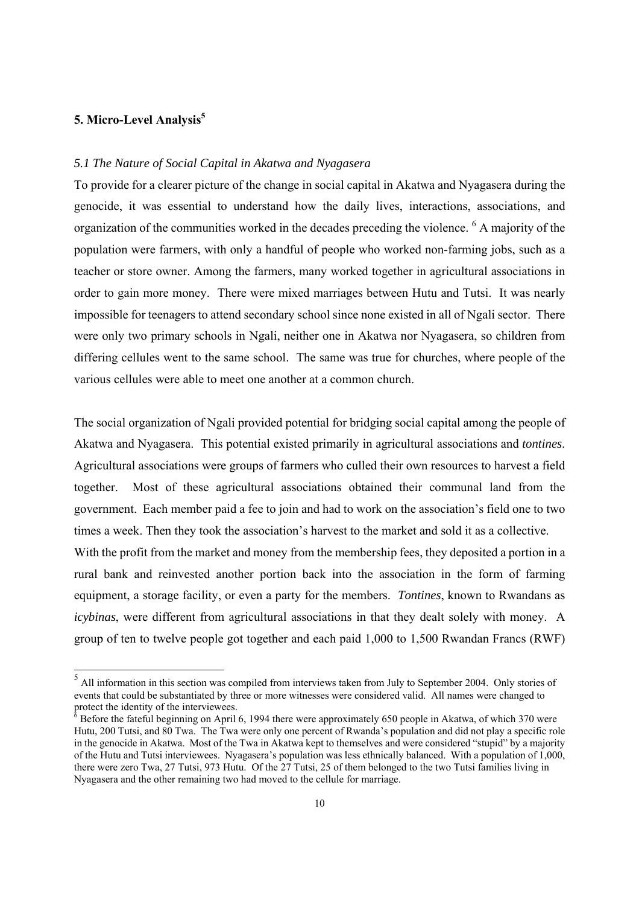# **5. Micro-Level Analysis5**

1

#### *5.1 The Nature of Social Capital in Akatwa and Nyagasera*

To provide for a clearer picture of the change in social capital in Akatwa and Nyagasera during the genocide, it was essential to understand how the daily lives, interactions, associations, and organization of the communities worked in the decades preceding the violence. <sup>6</sup> A majority of the population were farmers, with only a handful of people who worked non-farming jobs, such as a teacher or store owner. Among the farmers, many worked together in agricultural associations in order to gain more money. There were mixed marriages between Hutu and Tutsi. It was nearly impossible for teenagers to attend secondary school since none existed in all of Ngali sector. There were only two primary schools in Ngali, neither one in Akatwa nor Nyagasera, so children from differing cellules went to the same school. The same was true for churches, where people of the various cellules were able to meet one another at a common church.

The social organization of Ngali provided potential for bridging social capital among the people of Akatwa and Nyagasera. This potential existed primarily in agricultural associations and *tontines*. Agricultural associations were groups of farmers who culled their own resources to harvest a field together. Most of these agricultural associations obtained their communal land from the government. Each member paid a fee to join and had to work on the association's field one to two times a week. Then they took the association's harvest to the market and sold it as a collective. With the profit from the market and money from the membership fees, they deposited a portion in a rural bank and reinvested another portion back into the association in the form of farming equipment, a storage facility, or even a party for the members. *Tontines*, known to Rwandans as *icybinas*, were different from agricultural associations in that they dealt solely with money. A group of ten to twelve people got together and each paid 1,000 to 1,500 Rwandan Francs (RWF)

 $<sup>5</sup>$  All information in this section was compiled from interviews taken from July to September 2004. Only stories of</sup> events that could be substantiated by three or more witnesses were considered valid. All names were changed to protect the identity of the interviewees.<br><sup>6</sup> Before the fateful beginning on April 6, 1994 there were approximately 650 people in Akatwa, of which 370 were

Hutu, 200 Tutsi, and 80 Twa. The Twa were only one percent of Rwanda's population and did not play a specific role in the genocide in Akatwa. Most of the Twa in Akatwa kept to themselves and were considered "stupid" by a majority of the Hutu and Tutsi interviewees. Nyagasera's population was less ethnically balanced. With a population of 1,000, there were zero Twa, 27 Tutsi, 973 Hutu. Of the 27 Tutsi, 25 of them belonged to the two Tutsi families living in Nyagasera and the other remaining two had moved to the cellule for marriage.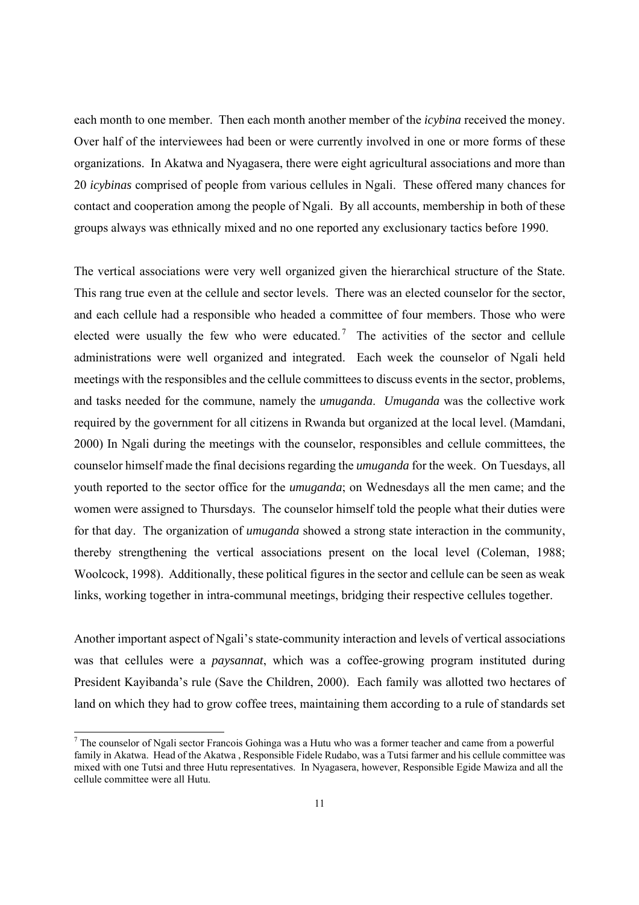each month to one member. Then each month another member of the *icybina* received the money. Over half of the interviewees had been or were currently involved in one or more forms of these organizations. In Akatwa and Nyagasera, there were eight agricultural associations and more than 20 *icybinas* comprised of people from various cellules in Ngali. These offered many chances for contact and cooperation among the people of Ngali. By all accounts, membership in both of these groups always was ethnically mixed and no one reported any exclusionary tactics before 1990.

The vertical associations were very well organized given the hierarchical structure of the State. This rang true even at the cellule and sector levels. There was an elected counselor for the sector, and each cellule had a responsible who headed a committee of four members. Those who were elected were usually the few who were educated.<sup>7</sup> The activities of the sector and cellule administrations were well organized and integrated. Each week the counselor of Ngali held meetings with the responsibles and the cellule committees to discuss events in the sector, problems, and tasks needed for the commune, namely the *umuganda*. *Umuganda* was the collective work required by the government for all citizens in Rwanda but organized at the local level. (Mamdani, 2000) In Ngali during the meetings with the counselor, responsibles and cellule committees, the counselor himself made the final decisions regarding the *umuganda* for the week. On Tuesdays, all youth reported to the sector office for the *umuganda*; on Wednesdays all the men came; and the women were assigned to Thursdays. The counselor himself told the people what their duties were for that day. The organization of *umuganda* showed a strong state interaction in the community, thereby strengthening the vertical associations present on the local level (Coleman, 1988; Woolcock, 1998). Additionally, these political figures in the sector and cellule can be seen as weak links, working together in intra-communal meetings, bridging their respective cellules together.

Another important aspect of Ngali's state-community interaction and levels of vertical associations was that cellules were a *paysannat*, which was a coffee-growing program instituted during President Kayibanda's rule (Save the Children, 2000). Each family was allotted two hectares of land on which they had to grow coffee trees, maintaining them according to a rule of standards set

1

 $7$  The counselor of Ngali sector Francois Gohinga was a Hutu who was a former teacher and came from a powerful family in Akatwa. Head of the Akatwa , Responsible Fidele Rudabo, was a Tutsi farmer and his cellule committee was mixed with one Tutsi and three Hutu representatives. In Nyagasera, however, Responsible Egide Mawiza and all the cellule committee were all Hutu.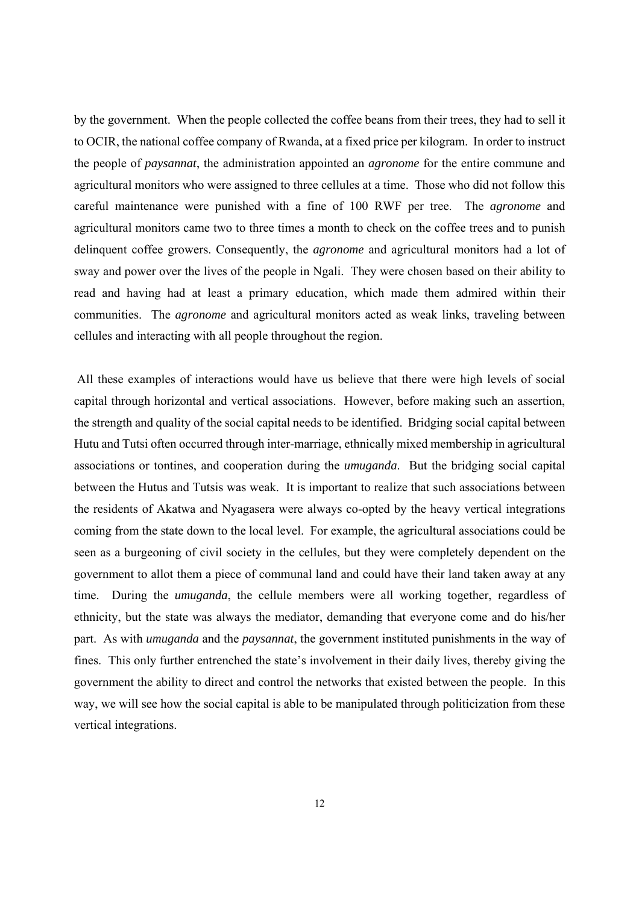by the government. When the people collected the coffee beans from their trees, they had to sell it to OCIR, the national coffee company of Rwanda, at a fixed price per kilogram. In order to instruct the people of *paysannat*, the administration appointed an *agronome* for the entire commune and agricultural monitors who were assigned to three cellules at a time. Those who did not follow this careful maintenance were punished with a fine of 100 RWF per tree. The *agronome* and agricultural monitors came two to three times a month to check on the coffee trees and to punish delinquent coffee growers. Consequently, the *agronome* and agricultural monitors had a lot of sway and power over the lives of the people in Ngali. They were chosen based on their ability to read and having had at least a primary education, which made them admired within their communities. The *agronome* and agricultural monitors acted as weak links, traveling between cellules and interacting with all people throughout the region.

 All these examples of interactions would have us believe that there were high levels of social capital through horizontal and vertical associations. However, before making such an assertion, the strength and quality of the social capital needs to be identified. Bridging social capital between Hutu and Tutsi often occurred through inter-marriage, ethnically mixed membership in agricultural associations or tontines, and cooperation during the *umuganda*. But the bridging social capital between the Hutus and Tutsis was weak. It is important to realize that such associations between the residents of Akatwa and Nyagasera were always co-opted by the heavy vertical integrations coming from the state down to the local level. For example, the agricultural associations could be seen as a burgeoning of civil society in the cellules, but they were completely dependent on the government to allot them a piece of communal land and could have their land taken away at any time. During the *umuganda*, the cellule members were all working together, regardless of ethnicity, but the state was always the mediator, demanding that everyone come and do his/her part. As with *umuganda* and the *paysannat*, the government instituted punishments in the way of fines. This only further entrenched the state's involvement in their daily lives, thereby giving the government the ability to direct and control the networks that existed between the people. In this way, we will see how the social capital is able to be manipulated through politicization from these vertical integrations.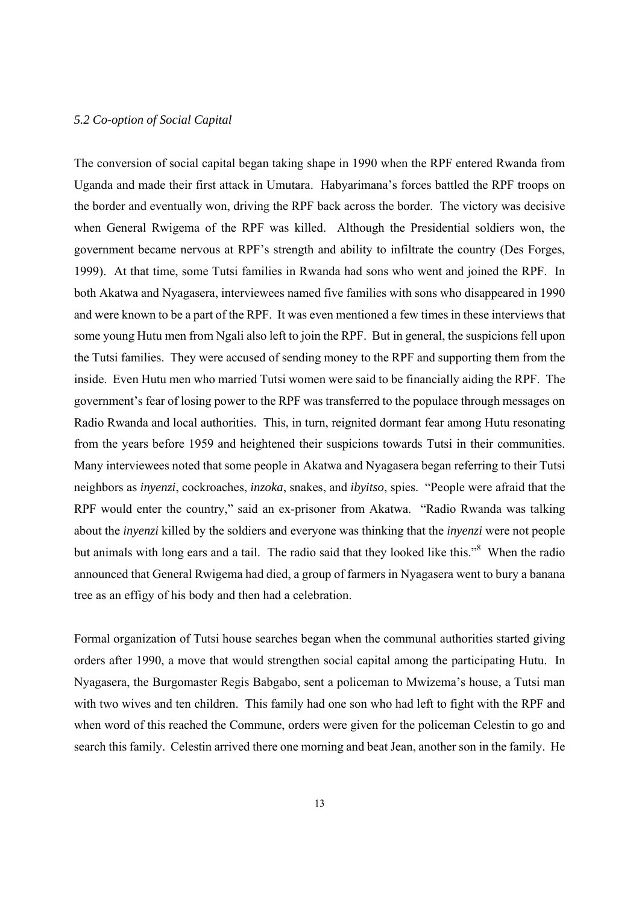#### *5.2 Co-option of Social Capital*

The conversion of social capital began taking shape in 1990 when the RPF entered Rwanda from Uganda and made their first attack in Umutara. Habyarimana's forces battled the RPF troops on the border and eventually won, driving the RPF back across the border. The victory was decisive when General Rwigema of the RPF was killed. Although the Presidential soldiers won, the government became nervous at RPF's strength and ability to infiltrate the country (Des Forges, 1999). At that time, some Tutsi families in Rwanda had sons who went and joined the RPF. In both Akatwa and Nyagasera, interviewees named five families with sons who disappeared in 1990 and were known to be a part of the RPF. It was even mentioned a few times in these interviews that some young Hutu men from Ngali also left to join the RPF. But in general, the suspicions fell upon the Tutsi families. They were accused of sending money to the RPF and supporting them from the inside. Even Hutu men who married Tutsi women were said to be financially aiding the RPF. The government's fear of losing power to the RPF was transferred to the populace through messages on Radio Rwanda and local authorities. This, in turn, reignited dormant fear among Hutu resonating from the years before 1959 and heightened their suspicions towards Tutsi in their communities. Many interviewees noted that some people in Akatwa and Nyagasera began referring to their Tutsi neighbors as *inyenzi*, cockroaches, *inzoka*, snakes, and *ibyitso*, spies. "People were afraid that the RPF would enter the country," said an ex-prisoner from Akatwa. "Radio Rwanda was talking about the *inyenzi* killed by the soldiers and everyone was thinking that the *inyenzi* were not people but animals with long ears and a tail. The radio said that they looked like this."<sup>8</sup> When the radio announced that General Rwigema had died, a group of farmers in Nyagasera went to bury a banana tree as an effigy of his body and then had a celebration.

Formal organization of Tutsi house searches began when the communal authorities started giving orders after 1990, a move that would strengthen social capital among the participating Hutu. In Nyagasera, the Burgomaster Regis Babgabo, sent a policeman to Mwizema's house, a Tutsi man with two wives and ten children. This family had one son who had left to fight with the RPF and when word of this reached the Commune, orders were given for the policeman Celestin to go and search this family. Celestin arrived there one morning and beat Jean, another son in the family. He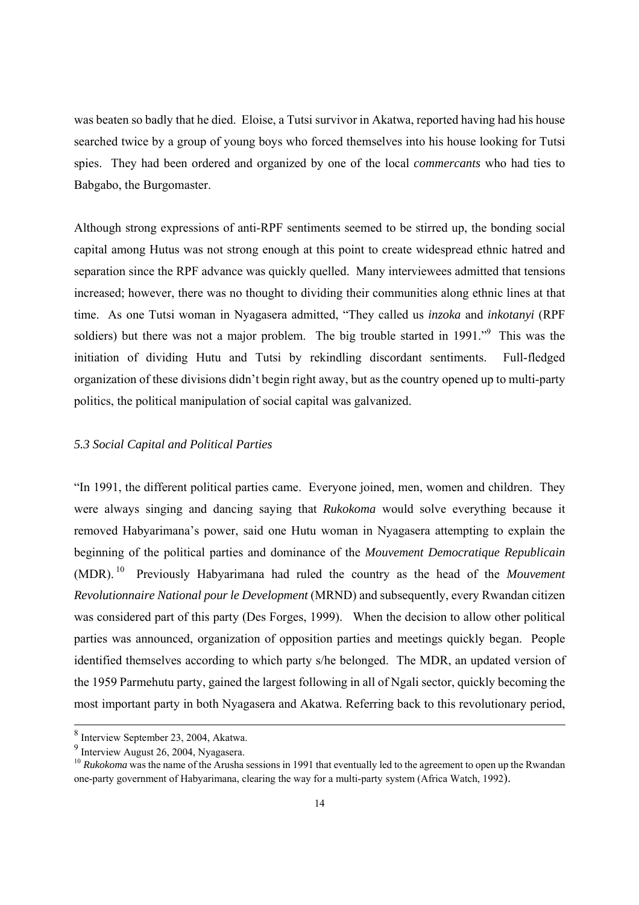was beaten so badly that he died. Eloise, a Tutsi survivor in Akatwa, reported having had his house searched twice by a group of young boys who forced themselves into his house looking for Tutsi spies. They had been ordered and organized by one of the local *commercants* who had ties to Babgabo, the Burgomaster.

Although strong expressions of anti-RPF sentiments seemed to be stirred up, the bonding social capital among Hutus was not strong enough at this point to create widespread ethnic hatred and separation since the RPF advance was quickly quelled. Many interviewees admitted that tensions increased; however, there was no thought to dividing their communities along ethnic lines at that time. As one Tutsi woman in Nyagasera admitted, "They called us *inzoka* and *inkotanyi* (RPF soldiers) but there was not a major problem. The big trouble started in 1991."<sup>9</sup> This was the initiation of dividing Hutu and Tutsi by rekindling discordant sentiments. Full-fledged organization of these divisions didn't begin right away, but as the country opened up to multi-party politics, the political manipulation of social capital was galvanized.

#### *5.3 Social Capital and Political Parties*

"In 1991, the different political parties came. Everyone joined, men, women and children. They were always singing and dancing saying that *Rukokoma* would solve everything because it removed Habyarimana's power, said one Hutu woman in Nyagasera attempting to explain the beginning of the political parties and dominance of the *Mouvement Democratique Republicain* (MDR). 10 Previously Habyarimana had ruled the country as the head of the *Mouvement Revolutionnaire National pour le Development* (MRND) and subsequently, every Rwandan citizen was considered part of this party (Des Forges, 1999). When the decision to allow other political parties was announced, organization of opposition parties and meetings quickly began. People identified themselves according to which party s/he belonged. The MDR, an updated version of the 1959 Parmehutu party, gained the largest following in all of Ngali sector, quickly becoming the most important party in both Nyagasera and Akatwa. Referring back to this revolutionary period,

<sup>8&</sup>lt;br><sup>8</sup> Interview September 23, 2004, Akatwa.

<sup>9</sup> Interview August 26, 2004, Nyagasera.

<sup>&</sup>lt;sup>10</sup> *Rukokoma* was the name of the Arusha sessions in 1991 that eventually led to the agreement to open up the Rwandan one-party government of Habyarimana, clearing the way for a multi-party system (Africa Watch, 1992).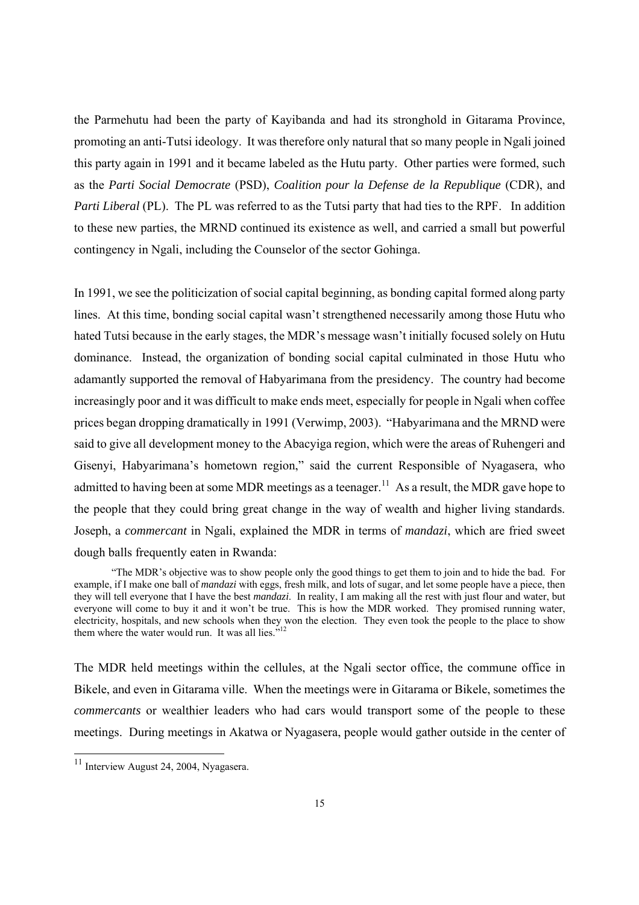the Parmehutu had been the party of Kayibanda and had its stronghold in Gitarama Province, promoting an anti-Tutsi ideology. It was therefore only natural that so many people in Ngali joined this party again in 1991 and it became labeled as the Hutu party. Other parties were formed, such as the *Parti Social Democrate* (PSD), *Coalition pour la Defense de la Republique* (CDR), and *Parti Liberal* (PL). The PL was referred to as the Tutsi party that had ties to the RPF. In addition to these new parties, the MRND continued its existence as well, and carried a small but powerful contingency in Ngali, including the Counselor of the sector Gohinga.

In 1991, we see the politicization of social capital beginning, as bonding capital formed along party lines. At this time, bonding social capital wasn't strengthened necessarily among those Hutu who hated Tutsi because in the early stages, the MDR's message wasn't initially focused solely on Hutu dominance. Instead, the organization of bonding social capital culminated in those Hutu who adamantly supported the removal of Habyarimana from the presidency. The country had become increasingly poor and it was difficult to make ends meet, especially for people in Ngali when coffee prices began dropping dramatically in 1991 (Verwimp, 2003). "Habyarimana and the MRND were said to give all development money to the Abacyiga region, which were the areas of Ruhengeri and Gisenyi, Habyarimana's hometown region," said the current Responsible of Nyagasera, who admitted to having been at some MDR meetings as a teenager.<sup>11</sup> As a result, the MDR gave hope to the people that they could bring great change in the way of wealth and higher living standards. Joseph, a *commercant* in Ngali, explained the MDR in terms of *mandazi*, which are fried sweet dough balls frequently eaten in Rwanda:

The MDR held meetings within the cellules, at the Ngali sector office, the commune office in Bikele, and even in Gitarama ville. When the meetings were in Gitarama or Bikele, sometimes the *commercants* or wealthier leaders who had cars would transport some of the people to these meetings. During meetings in Akatwa or Nyagasera, people would gather outside in the center of

<sup>&</sup>quot;The MDR's objective was to show people only the good things to get them to join and to hide the bad. For example, if I make one ball of *mandazi* with eggs, fresh milk, and lots of sugar, and let some people have a piece, then they will tell everyone that I have the best *mandazi*. In reality, I am making all the rest with just flour and water, but everyone will come to buy it and it won't be true. This is how the MDR worked. They promised running water, electricity, hospitals, and new schools when they won the election. They even took the people to the place to show them where the water would run. It was all lies."<sup>12</sup>

<sup>&</sup>lt;sup>11</sup> Interview August 24, 2004, Nyagasera.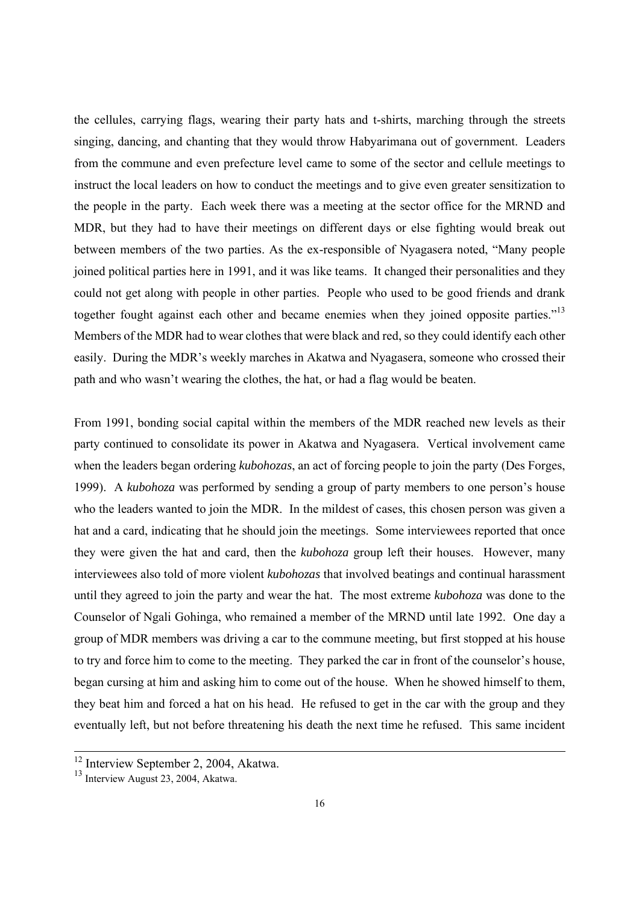the cellules, carrying flags, wearing their party hats and t-shirts, marching through the streets singing, dancing, and chanting that they would throw Habyarimana out of government. Leaders from the commune and even prefecture level came to some of the sector and cellule meetings to instruct the local leaders on how to conduct the meetings and to give even greater sensitization to the people in the party. Each week there was a meeting at the sector office for the MRND and MDR, but they had to have their meetings on different days or else fighting would break out between members of the two parties. As the ex-responsible of Nyagasera noted, "Many people joined political parties here in 1991, and it was like teams. It changed their personalities and they could not get along with people in other parties. People who used to be good friends and drank together fought against each other and became enemies when they joined opposite parties."<sup>13</sup> Members of the MDR had to wear clothes that were black and red, so they could identify each other easily. During the MDR's weekly marches in Akatwa and Nyagasera, someone who crossed their path and who wasn't wearing the clothes, the hat, or had a flag would be beaten.

From 1991, bonding social capital within the members of the MDR reached new levels as their party continued to consolidate its power in Akatwa and Nyagasera. Vertical involvement came when the leaders began ordering *kubohozas*, an act of forcing people to join the party (Des Forges, 1999). A *kubohoza* was performed by sending a group of party members to one person's house who the leaders wanted to join the MDR. In the mildest of cases, this chosen person was given a hat and a card, indicating that he should join the meetings. Some interviewees reported that once they were given the hat and card, then the *kubohoza* group left their houses. However, many interviewees also told of more violent *kubohozas* that involved beatings and continual harassment until they agreed to join the party and wear the hat. The most extreme *kubohoza* was done to the Counselor of Ngali Gohinga, who remained a member of the MRND until late 1992. One day a group of MDR members was driving a car to the commune meeting, but first stopped at his house to try and force him to come to the meeting. They parked the car in front of the counselor's house, began cursing at him and asking him to come out of the house. When he showed himself to them, they beat him and forced a hat on his head. He refused to get in the car with the group and they eventually left, but not before threatening his death the next time he refused. This same incident

 <sup>12</sup> Interview September 2, 2004, Akatwa.

<sup>&</sup>lt;sup>13</sup> Interview August 23, 2004, Akatwa.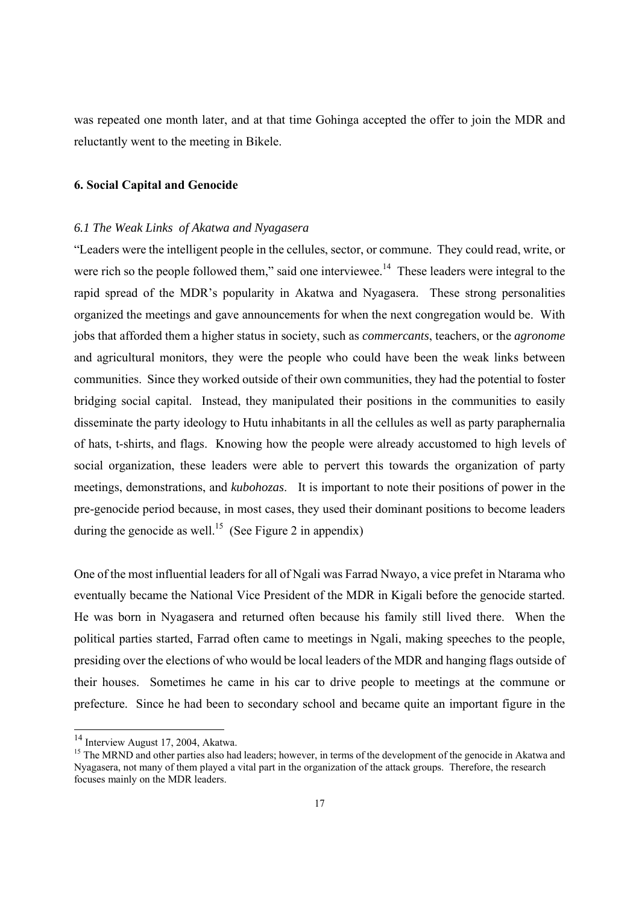was repeated one month later, and at that time Gohinga accepted the offer to join the MDR and reluctantly went to the meeting in Bikele.

### **6. Social Capital and Genocide**

#### *6.1 The Weak Links of Akatwa and Nyagasera*

"Leaders were the intelligent people in the cellules, sector, or commune. They could read, write, or were rich so the people followed them," said one interviewee.<sup>14</sup> These leaders were integral to the rapid spread of the MDR's popularity in Akatwa and Nyagasera. These strong personalities organized the meetings and gave announcements for when the next congregation would be. With jobs that afforded them a higher status in society, such as *commercants*, teachers, or the *agronome*  and agricultural monitors, they were the people who could have been the weak links between communities. Since they worked outside of their own communities, they had the potential to foster bridging social capital. Instead, they manipulated their positions in the communities to easily disseminate the party ideology to Hutu inhabitants in all the cellules as well as party paraphernalia of hats, t-shirts, and flags. Knowing how the people were already accustomed to high levels of social organization, these leaders were able to pervert this towards the organization of party meetings, demonstrations, and *kubohozas*. It is important to note their positions of power in the pre-genocide period because, in most cases, they used their dominant positions to become leaders during the genocide as well.<sup>15</sup> (See Figure 2 in appendix)

One of the most influential leaders for all of Ngali was Farrad Nwayo, a vice prefet in Ntarama who eventually became the National Vice President of the MDR in Kigali before the genocide started. He was born in Nyagasera and returned often because his family still lived there. When the political parties started, Farrad often came to meetings in Ngali, making speeches to the people, presiding over the elections of who would be local leaders of the MDR and hanging flags outside of their houses. Sometimes he came in his car to drive people to meetings at the commune or prefecture. Since he had been to secondary school and became quite an important figure in the

1

<sup>&</sup>lt;sup>14</sup> Interview August 17, 2004, Akatwa.<br><sup>15</sup> The MRND and other parties also had leaders; however, in terms of the development of the genocide in Akatwa and Nyagasera, not many of them played a vital part in the organization of the attack groups. Therefore, the research focuses mainly on the MDR leaders.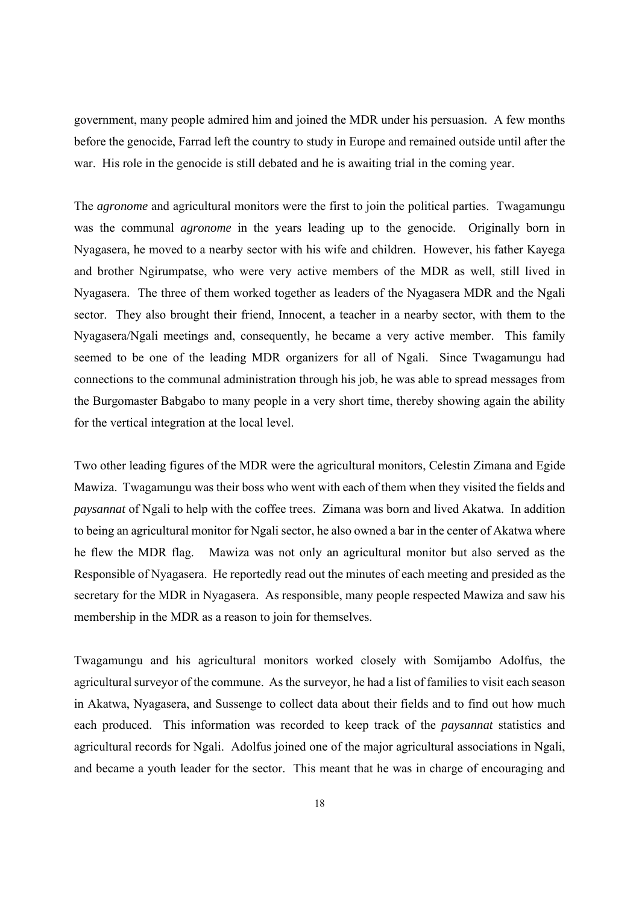government, many people admired him and joined the MDR under his persuasion. A few months before the genocide, Farrad left the country to study in Europe and remained outside until after the war. His role in the genocide is still debated and he is awaiting trial in the coming year.

The *agronome* and agricultural monitors were the first to join the political parties. Twagamungu was the communal *agronome* in the years leading up to the genocide. Originally born in Nyagasera, he moved to a nearby sector with his wife and children. However, his father Kayega and brother Ngirumpatse, who were very active members of the MDR as well, still lived in Nyagasera. The three of them worked together as leaders of the Nyagasera MDR and the Ngali sector. They also brought their friend, Innocent, a teacher in a nearby sector, with them to the Nyagasera/Ngali meetings and, consequently, he became a very active member. This family seemed to be one of the leading MDR organizers for all of Ngali. Since Twagamungu had connections to the communal administration through his job, he was able to spread messages from the Burgomaster Babgabo to many people in a very short time, thereby showing again the ability for the vertical integration at the local level.

Two other leading figures of the MDR were the agricultural monitors, Celestin Zimana and Egide Mawiza. Twagamungu was their boss who went with each of them when they visited the fields and *paysannat* of Ngali to help with the coffee trees. Zimana was born and lived Akatwa. In addition to being an agricultural monitor for Ngali sector, he also owned a bar in the center of Akatwa where he flew the MDR flag. Mawiza was not only an agricultural monitor but also served as the Responsible of Nyagasera. He reportedly read out the minutes of each meeting and presided as the secretary for the MDR in Nyagasera. As responsible, many people respected Mawiza and saw his membership in the MDR as a reason to join for themselves.

Twagamungu and his agricultural monitors worked closely with Somijambo Adolfus, the agricultural surveyor of the commune. As the surveyor, he had a list of families to visit each season in Akatwa, Nyagasera, and Sussenge to collect data about their fields and to find out how much each produced. This information was recorded to keep track of the *paysannat* statistics and agricultural records for Ngali. Adolfus joined one of the major agricultural associations in Ngali, and became a youth leader for the sector. This meant that he was in charge of encouraging and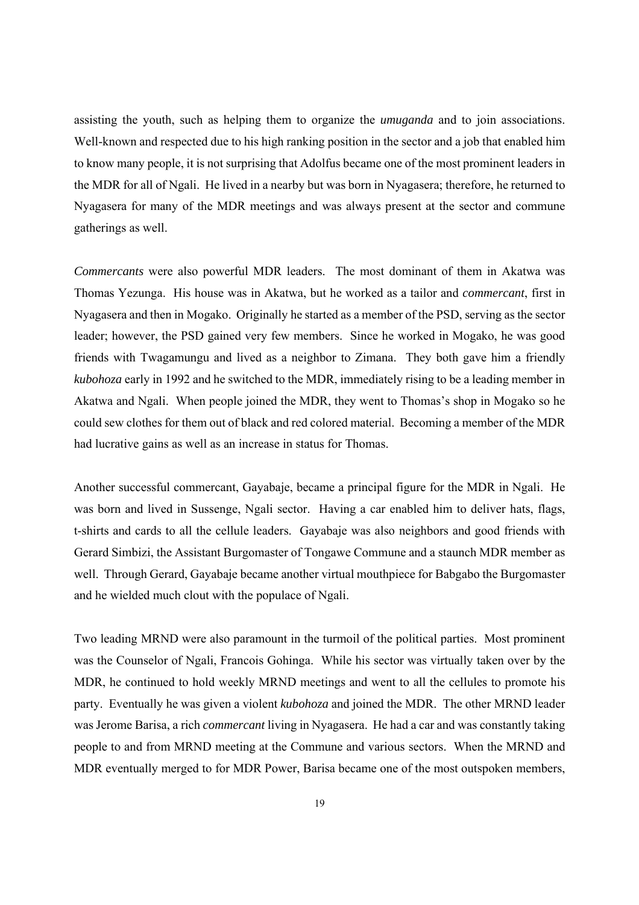assisting the youth, such as helping them to organize the *umuganda* and to join associations. Well-known and respected due to his high ranking position in the sector and a job that enabled him to know many people, it is not surprising that Adolfus became one of the most prominent leaders in the MDR for all of Ngali. He lived in a nearby but was born in Nyagasera; therefore, he returned to Nyagasera for many of the MDR meetings and was always present at the sector and commune gatherings as well.

*Commercants* were also powerful MDR leaders. The most dominant of them in Akatwa was Thomas Yezunga. His house was in Akatwa, but he worked as a tailor and *commercant*, first in Nyagasera and then in Mogako. Originally he started as a member of the PSD, serving as the sector leader; however, the PSD gained very few members. Since he worked in Mogako, he was good friends with Twagamungu and lived as a neighbor to Zimana. They both gave him a friendly *kubohoza* early in 1992 and he switched to the MDR, immediately rising to be a leading member in Akatwa and Ngali. When people joined the MDR, they went to Thomas's shop in Mogako so he could sew clothes for them out of black and red colored material. Becoming a member of the MDR had lucrative gains as well as an increase in status for Thomas.

Another successful commercant, Gayabaje, became a principal figure for the MDR in Ngali. He was born and lived in Sussenge, Ngali sector. Having a car enabled him to deliver hats, flags, t-shirts and cards to all the cellule leaders. Gayabaje was also neighbors and good friends with Gerard Simbizi, the Assistant Burgomaster of Tongawe Commune and a staunch MDR member as well. Through Gerard, Gayabaje became another virtual mouthpiece for Babgabo the Burgomaster and he wielded much clout with the populace of Ngali.

Two leading MRND were also paramount in the turmoil of the political parties. Most prominent was the Counselor of Ngali, Francois Gohinga. While his sector was virtually taken over by the MDR, he continued to hold weekly MRND meetings and went to all the cellules to promote his party. Eventually he was given a violent *kubohoza* and joined the MDR. The other MRND leader was Jerome Barisa, a rich *commercant* living in Nyagasera. He had a car and was constantly taking people to and from MRND meeting at the Commune and various sectors. When the MRND and MDR eventually merged to for MDR Power, Barisa became one of the most outspoken members,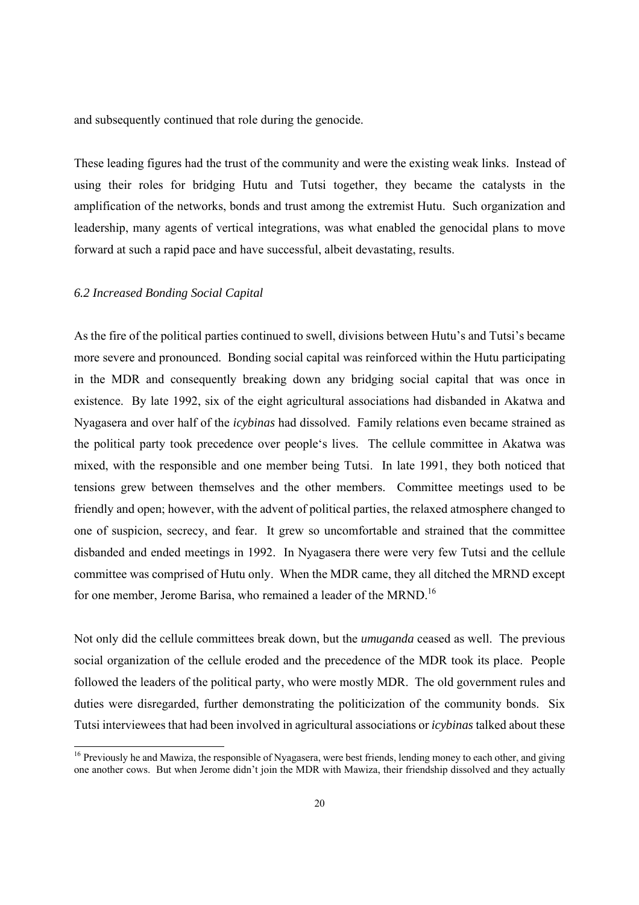and subsequently continued that role during the genocide.

These leading figures had the trust of the community and were the existing weak links. Instead of using their roles for bridging Hutu and Tutsi together, they became the catalysts in the amplification of the networks, bonds and trust among the extremist Hutu. Such organization and leadership, many agents of vertical integrations, was what enabled the genocidal plans to move forward at such a rapid pace and have successful, albeit devastating, results.

# *6.2 Increased Bonding Social Capital*

 $\overline{a}$ 

As the fire of the political parties continued to swell, divisions between Hutu's and Tutsi's became more severe and pronounced. Bonding social capital was reinforced within the Hutu participating in the MDR and consequently breaking down any bridging social capital that was once in existence. By late 1992, six of the eight agricultural associations had disbanded in Akatwa and Nyagasera and over half of the *icybinas* had dissolved. Family relations even became strained as the political party took precedence over people's lives. The cellule committee in Akatwa was mixed, with the responsible and one member being Tutsi. In late 1991, they both noticed that tensions grew between themselves and the other members. Committee meetings used to be friendly and open; however, with the advent of political parties, the relaxed atmosphere changed to one of suspicion, secrecy, and fear. It grew so uncomfortable and strained that the committee disbanded and ended meetings in 1992. In Nyagasera there were very few Tutsi and the cellule committee was comprised of Hutu only. When the MDR came, they all ditched the MRND except for one member, Jerome Barisa, who remained a leader of the MRND.<sup>16</sup>

Not only did the cellule committees break down, but the *umuganda* ceased as well. The previous social organization of the cellule eroded and the precedence of the MDR took its place. People followed the leaders of the political party, who were mostly MDR. The old government rules and duties were disregarded, further demonstrating the politicization of the community bonds. Six Tutsi interviewees that had been involved in agricultural associations or *icybinas* talked about these

 $^{16}$  Previously he and Mawiza, the responsible of Nyagasera, were best friends, lending money to each other, and giving one another cows. But when Jerome didn't join the MDR with Mawiza, their friendship dissolved and they actually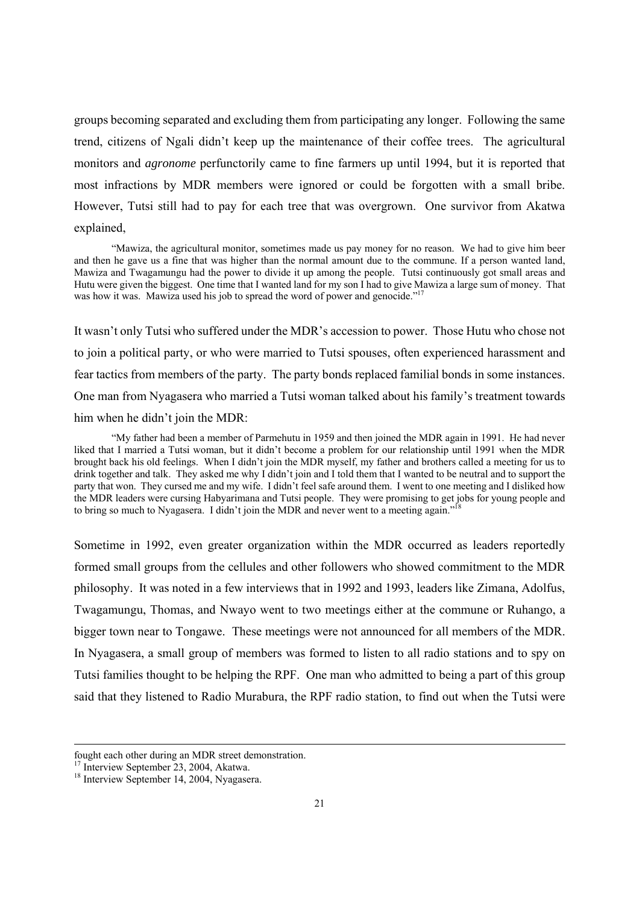groups becoming separated and excluding them from participating any longer. Following the same trend, citizens of Ngali didn't keep up the maintenance of their coffee trees. The agricultural monitors and *agronome* perfunctorily came to fine farmers up until 1994, but it is reported that most infractions by MDR members were ignored or could be forgotten with a small bribe. However, Tutsi still had to pay for each tree that was overgrown. One survivor from Akatwa explained,

"Mawiza, the agricultural monitor, sometimes made us pay money for no reason. We had to give him beer and then he gave us a fine that was higher than the normal amount due to the commune. If a person wanted land, Mawiza and Twagamungu had the power to divide it up among the people. Tutsi continuously got small areas and Hutu were given the biggest. One time that I wanted land for my son I had to give Mawiza a large sum of money. That was how it was. Mawiza used his job to spread the word of power and genocide."<sup>17</sup>

It wasn't only Tutsi who suffered under the MDR's accession to power. Those Hutu who chose not to join a political party, or who were married to Tutsi spouses, often experienced harassment and fear tactics from members of the party. The party bonds replaced familial bonds in some instances. One man from Nyagasera who married a Tutsi woman talked about his family's treatment towards him when he didn't join the MDR:

"My father had been a member of Parmehutu in 1959 and then joined the MDR again in 1991. He had never liked that I married a Tutsi woman, but it didn't become a problem for our relationship until 1991 when the MDR brought back his old feelings. When I didn't join the MDR myself, my father and brothers called a meeting for us to drink together and talk. They asked me why I didn't join and I told them that I wanted to be neutral and to support the party that won. They cursed me and my wife. I didn't feel safe around them. I went to one meeting and I disliked how the MDR leaders were cursing Habyarimana and Tutsi people. They were promising to get jobs for young people and to bring so much to Nyagasera. I didn't join the MDR and never went to a meeting again."<sup>18</sup>

Sometime in 1992, even greater organization within the MDR occurred as leaders reportedly formed small groups from the cellules and other followers who showed commitment to the MDR philosophy. It was noted in a few interviews that in 1992 and 1993, leaders like Zimana, Adolfus, Twagamungu, Thomas, and Nwayo went to two meetings either at the commune or Ruhango, a bigger town near to Tongawe. These meetings were not announced for all members of the MDR. In Nyagasera, a small group of members was formed to listen to all radio stations and to spy on Tutsi families thought to be helping the RPF. One man who admitted to being a part of this group said that they listened to Radio Murabura, the RPF radio station, to find out when the Tutsi were

1

fought each other during an MDR street demonstration. 17 Interview September 23, 2004, Akatwa.

<sup>&</sup>lt;sup>18</sup> Interview September 14, 2004, Nyagasera.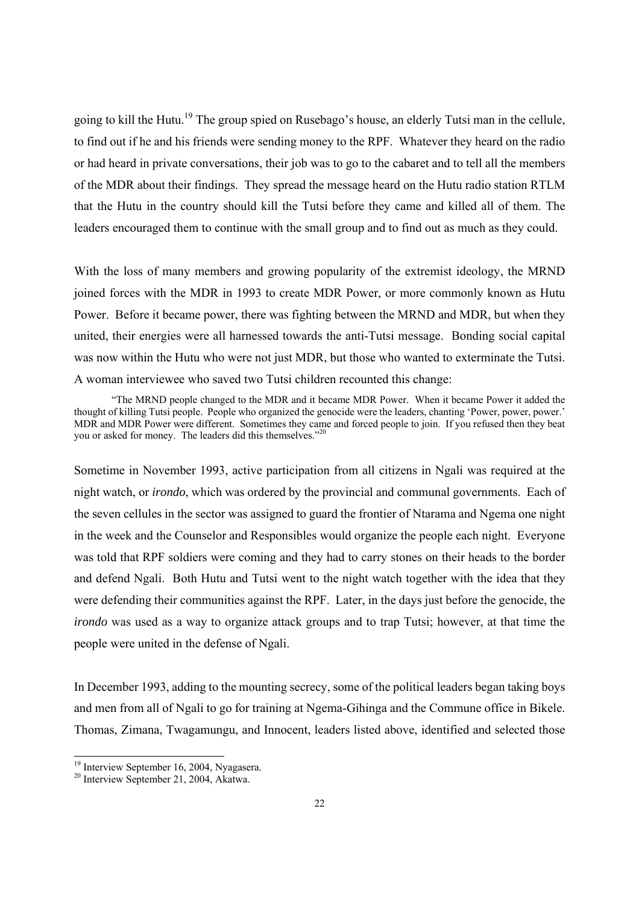going to kill the Hutu.19 The group spied on Rusebago's house, an elderly Tutsi man in the cellule, to find out if he and his friends were sending money to the RPF. Whatever they heard on the radio or had heard in private conversations, their job was to go to the cabaret and to tell all the members of the MDR about their findings. They spread the message heard on the Hutu radio station RTLM that the Hutu in the country should kill the Tutsi before they came and killed all of them. The leaders encouraged them to continue with the small group and to find out as much as they could.

With the loss of many members and growing popularity of the extremist ideology, the MRND joined forces with the MDR in 1993 to create MDR Power, or more commonly known as Hutu Power. Before it became power, there was fighting between the MRND and MDR, but when they united, their energies were all harnessed towards the anti-Tutsi message. Bonding social capital was now within the Hutu who were not just MDR, but those who wanted to exterminate the Tutsi. A woman interviewee who saved two Tutsi children recounted this change:

Sometime in November 1993, active participation from all citizens in Ngali was required at the night watch, or *irondo*, which was ordered by the provincial and communal governments. Each of the seven cellules in the sector was assigned to guard the frontier of Ntarama and Ngema one night in the week and the Counselor and Responsibles would organize the people each night. Everyone was told that RPF soldiers were coming and they had to carry stones on their heads to the border and defend Ngali. Both Hutu and Tutsi went to the night watch together with the idea that they were defending their communities against the RPF. Later, in the days just before the genocide, the *irondo* was used as a way to organize attack groups and to trap Tutsi; however, at that time the people were united in the defense of Ngali.

In December 1993, adding to the mounting secrecy, some of the political leaders began taking boys and men from all of Ngali to go for training at Ngema-Gihinga and the Commune office in Bikele. Thomas, Zimana, Twagamungu, and Innocent, leaders listed above, identified and selected those

<sup>&</sup>quot;The MRND people changed to the MDR and it became MDR Power. When it became Power it added the thought of killing Tutsi people. People who organized the genocide were the leaders, chanting 'Power, power, power.' MDR and MDR Power were different. Sometimes they came and forced people to join. If you refused then they beat you or asked for money. The leaders did this themselves."20

<sup>&</sup>lt;sup>19</sup> Interview September 16, 2004, Nyagasera.

<sup>&</sup>lt;sup>20</sup> Interview September 21, 2004, Akatwa.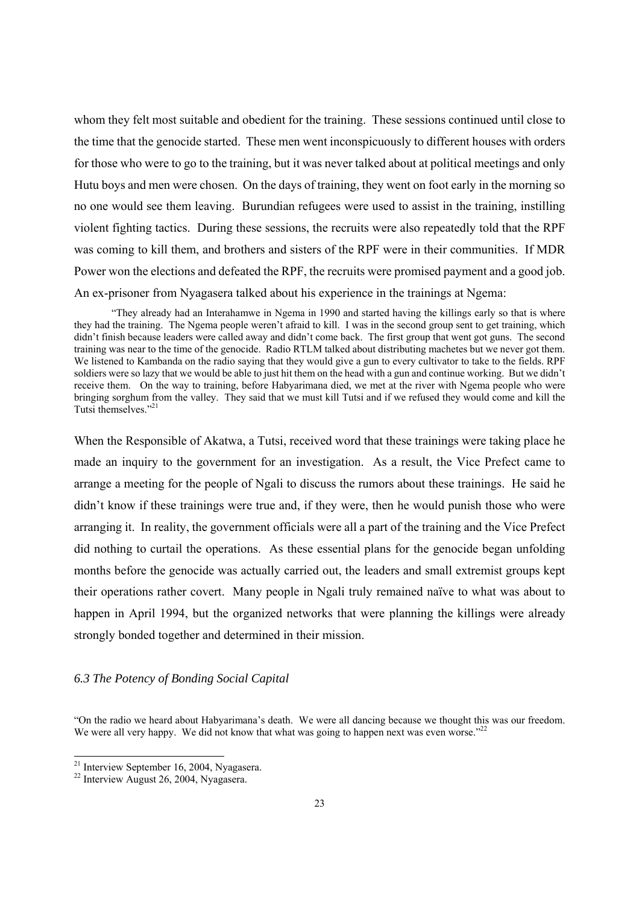whom they felt most suitable and obedient for the training. These sessions continued until close to the time that the genocide started. These men went inconspicuously to different houses with orders for those who were to go to the training, but it was never talked about at political meetings and only Hutu boys and men were chosen. On the days of training, they went on foot early in the morning so no one would see them leaving. Burundian refugees were used to assist in the training, instilling violent fighting tactics. During these sessions, the recruits were also repeatedly told that the RPF was coming to kill them, and brothers and sisters of the RPF were in their communities. If MDR Power won the elections and defeated the RPF, the recruits were promised payment and a good job. An ex-prisoner from Nyagasera talked about his experience in the trainings at Ngema:

"They already had an Interahamwe in Ngema in 1990 and started having the killings early so that is where they had the training. The Ngema people weren't afraid to kill. I was in the second group sent to get training, which didn't finish because leaders were called away and didn't come back. The first group that went got guns. The second training was near to the time of the genocide. Radio RTLM talked about distributing machetes but we never got them. We listened to Kambanda on the radio saying that they would give a gun to every cultivator to take to the fields. RPF soldiers were so lazy that we would be able to just hit them on the head with a gun and continue working. But we didn't receive them. On the way to training, before Habyarimana died, we met at the river with Ngema people who were bringing sorghum from the valley. They said that we must kill Tutsi and if we refused they would come and kill the Tutsi themselves."<sup>21</sup>

When the Responsible of Akatwa, a Tutsi, received word that these trainings were taking place he made an inquiry to the government for an investigation. As a result, the Vice Prefect came to arrange a meeting for the people of Ngali to discuss the rumors about these trainings. He said he didn't know if these trainings were true and, if they were, then he would punish those who were arranging it. In reality, the government officials were all a part of the training and the Vice Prefect did nothing to curtail the operations. As these essential plans for the genocide began unfolding months before the genocide was actually carried out, the leaders and small extremist groups kept their operations rather covert. Many people in Ngali truly remained naïve to what was about to happen in April 1994, but the organized networks that were planning the killings were already strongly bonded together and determined in their mission.

# *6.3 The Potency of Bonding Social Capital*

"On the radio we heard about Habyarimana's death. We were all dancing because we thought this was our freedom. We were all very happy. We did not know that what was going to happen next was even worse."<sup>22</sup>

 $21$  Interview September 16, 2004, Nyagasera.

<sup>&</sup>lt;sup>22</sup> Interview August 26, 2004, Nyagasera.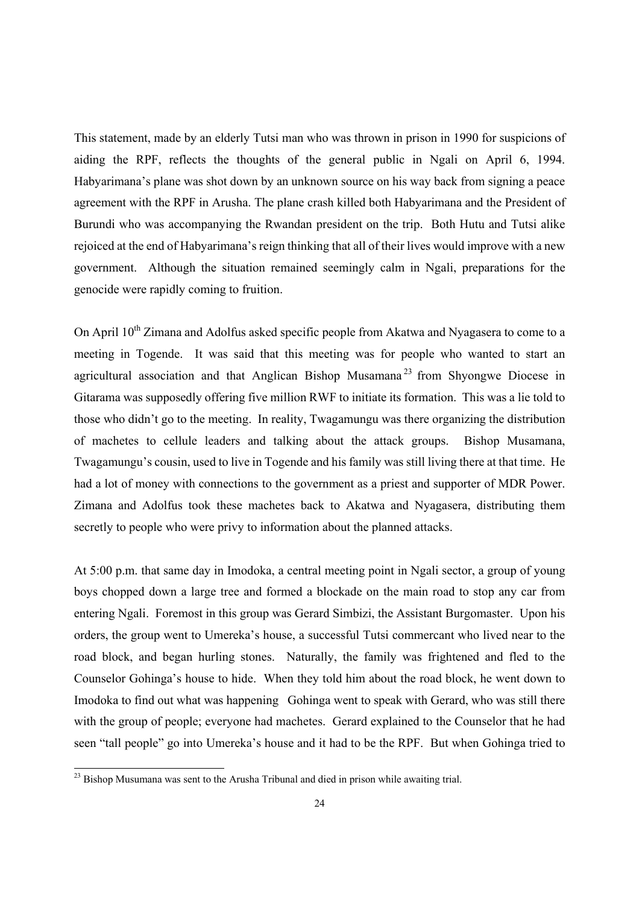This statement, made by an elderly Tutsi man who was thrown in prison in 1990 for suspicions of aiding the RPF, reflects the thoughts of the general public in Ngali on April 6, 1994. Habyarimana's plane was shot down by an unknown source on his way back from signing a peace agreement with the RPF in Arusha. The plane crash killed both Habyarimana and the President of Burundi who was accompanying the Rwandan president on the trip. Both Hutu and Tutsi alike rejoiced at the end of Habyarimana's reign thinking that all of their lives would improve with a new government. Although the situation remained seemingly calm in Ngali, preparations for the genocide were rapidly coming to fruition.

On April 10<sup>th</sup> Zimana and Adolfus asked specific people from Akatwa and Nyagasera to come to a meeting in Togende. It was said that this meeting was for people who wanted to start an agricultural association and that Anglican Bishop Musamana 23 from Shyongwe Diocese in Gitarama was supposedly offering five million RWF to initiate its formation. This was a lie told to those who didn't go to the meeting. In reality, Twagamungu was there organizing the distribution of machetes to cellule leaders and talking about the attack groups. Bishop Musamana, Twagamungu's cousin, used to live in Togende and his family was still living there at that time. He had a lot of money with connections to the government as a priest and supporter of MDR Power. Zimana and Adolfus took these machetes back to Akatwa and Nyagasera, distributing them secretly to people who were privy to information about the planned attacks.

At 5:00 p.m. that same day in Imodoka, a central meeting point in Ngali sector, a group of young boys chopped down a large tree and formed a blockade on the main road to stop any car from entering Ngali. Foremost in this group was Gerard Simbizi, the Assistant Burgomaster. Upon his orders, the group went to Umereka's house, a successful Tutsi commercant who lived near to the road block, and began hurling stones. Naturally, the family was frightened and fled to the Counselor Gohinga's house to hide. When they told him about the road block, he went down to Imodoka to find out what was happening Gohinga went to speak with Gerard, who was still there with the group of people; everyone had machetes. Gerard explained to the Counselor that he had seen "tall people" go into Umereka's house and it had to be the RPF. But when Gohinga tried to

 $23$  Bishop Musumana was sent to the Arusha Tribunal and died in prison while awaiting trial.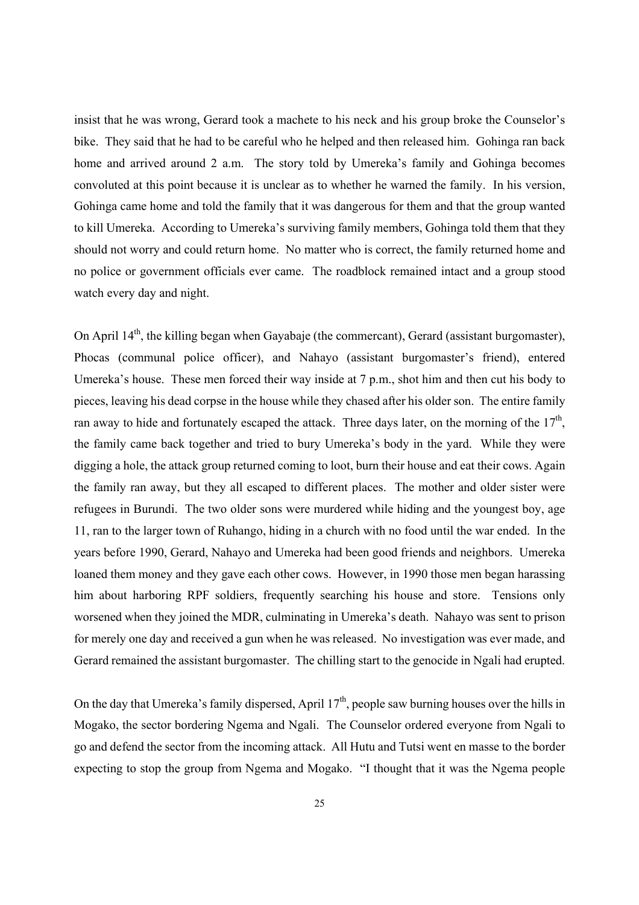insist that he was wrong, Gerard took a machete to his neck and his group broke the Counselor's bike. They said that he had to be careful who he helped and then released him. Gohinga ran back home and arrived around 2 a.m. The story told by Umereka's family and Gohinga becomes convoluted at this point because it is unclear as to whether he warned the family. In his version, Gohinga came home and told the family that it was dangerous for them and that the group wanted to kill Umereka. According to Umereka's surviving family members, Gohinga told them that they should not worry and could return home. No matter who is correct, the family returned home and no police or government officials ever came. The roadblock remained intact and a group stood watch every day and night.

On April  $14<sup>th</sup>$ , the killing began when Gayabaje (the commercant), Gerard (assistant burgomaster), Phocas (communal police officer), and Nahayo (assistant burgomaster's friend), entered Umereka's house. These men forced their way inside at 7 p.m., shot him and then cut his body to pieces, leaving his dead corpse in the house while they chased after his older son. The entire family ran away to hide and fortunately escaped the attack. Three days later, on the morning of the  $17<sup>th</sup>$ , the family came back together and tried to bury Umereka's body in the yard. While they were digging a hole, the attack group returned coming to loot, burn their house and eat their cows. Again the family ran away, but they all escaped to different places. The mother and older sister were refugees in Burundi. The two older sons were murdered while hiding and the youngest boy, age 11, ran to the larger town of Ruhango, hiding in a church with no food until the war ended. In the years before 1990, Gerard, Nahayo and Umereka had been good friends and neighbors. Umereka loaned them money and they gave each other cows. However, in 1990 those men began harassing him about harboring RPF soldiers, frequently searching his house and store. Tensions only worsened when they joined the MDR, culminating in Umereka's death. Nahayo was sent to prison for merely one day and received a gun when he was released. No investigation was ever made, and Gerard remained the assistant burgomaster. The chilling start to the genocide in Ngali had erupted.

On the day that Umereka's family dispersed, April  $17<sup>th</sup>$ , people saw burning houses over the hills in Mogako, the sector bordering Ngema and Ngali. The Counselor ordered everyone from Ngali to go and defend the sector from the incoming attack. All Hutu and Tutsi went en masse to the border expecting to stop the group from Ngema and Mogako. "I thought that it was the Ngema people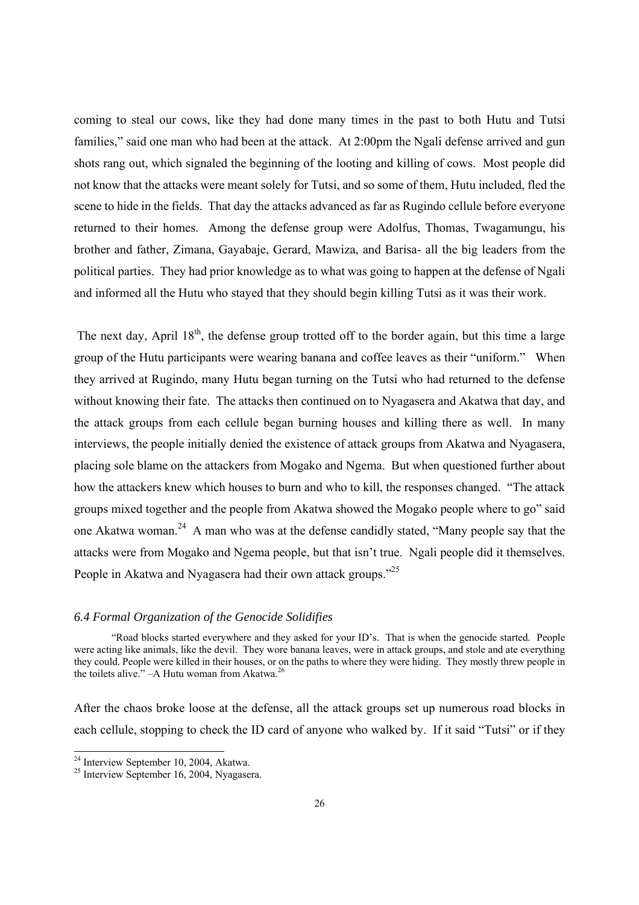coming to steal our cows, like they had done many times in the past to both Hutu and Tutsi families," said one man who had been at the attack. At 2:00pm the Ngali defense arrived and gun shots rang out, which signaled the beginning of the looting and killing of cows. Most people did not know that the attacks were meant solely for Tutsi, and so some of them, Hutu included, fled the scene to hide in the fields. That day the attacks advanced as far as Rugindo cellule before everyone returned to their homes. Among the defense group were Adolfus, Thomas, Twagamungu, his brother and father, Zimana, Gayabaje, Gerard, Mawiza, and Barisa- all the big leaders from the political parties. They had prior knowledge as to what was going to happen at the defense of Ngali and informed all the Hutu who stayed that they should begin killing Tutsi as it was their work.

The next day, April  $18<sup>th</sup>$ , the defense group trotted off to the border again, but this time a large group of the Hutu participants were wearing banana and coffee leaves as their "uniform." When they arrived at Rugindo, many Hutu began turning on the Tutsi who had returned to the defense without knowing their fate. The attacks then continued on to Nyagasera and Akatwa that day, and the attack groups from each cellule began burning houses and killing there as well. In many interviews, the people initially denied the existence of attack groups from Akatwa and Nyagasera, placing sole blame on the attackers from Mogako and Ngema. But when questioned further about how the attackers knew which houses to burn and who to kill, the responses changed. "The attack groups mixed together and the people from Akatwa showed the Mogako people where to go" said one Akatwa woman.24 A man who was at the defense candidly stated, "Many people say that the attacks were from Mogako and Ngema people, but that isn't true. Ngali people did it themselves. People in Akatwa and Nyagasera had their own attack groups."<sup>25</sup>

# *6.4 Formal Organization of the Genocide Solidifies*

"Road blocks started everywhere and they asked for your ID's. That is when the genocide started. People were acting like animals, like the devil. They wore banana leaves, were in attack groups, and stole and ate everything they could. People were killed in their houses, or on the paths to where they were hiding. They mostly threw people in the toilets alive."  $-A$  Hutu woman from Akatwa.<sup>26</sup>

After the chaos broke loose at the defense, all the attack groups set up numerous road blocks in each cellule, stopping to check the ID card of anyone who walked by. If it said "Tutsi" or if they

<sup>&</sup>lt;sup>24</sup> Interview September 10, 2004, Akatwa.

<sup>&</sup>lt;sup>25</sup> Interview September 16, 2004, Nyagasera.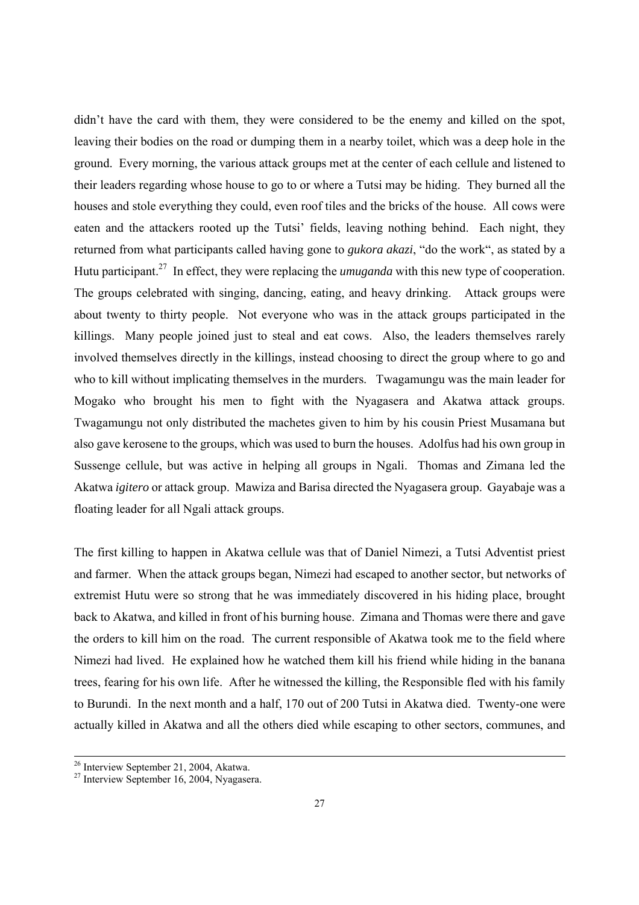didn't have the card with them, they were considered to be the enemy and killed on the spot, leaving their bodies on the road or dumping them in a nearby toilet, which was a deep hole in the ground. Every morning, the various attack groups met at the center of each cellule and listened to their leaders regarding whose house to go to or where a Tutsi may be hiding. They burned all the houses and stole everything they could, even roof tiles and the bricks of the house. All cows were eaten and the attackers rooted up the Tutsi' fields, leaving nothing behind. Each night, they returned from what participants called having gone to *gukora akazi*, "do the work", as stated by a Hutu participant.27 In effect, they were replacing the *umuganda* with this new type of cooperation. The groups celebrated with singing, dancing, eating, and heavy drinking. Attack groups were about twenty to thirty people. Not everyone who was in the attack groups participated in the killings. Many people joined just to steal and eat cows. Also, the leaders themselves rarely involved themselves directly in the killings, instead choosing to direct the group where to go and who to kill without implicating themselves in the murders. Twagamungu was the main leader for Mogako who brought his men to fight with the Nyagasera and Akatwa attack groups. Twagamungu not only distributed the machetes given to him by his cousin Priest Musamana but also gave kerosene to the groups, which was used to burn the houses. Adolfus had his own group in Sussenge cellule, but was active in helping all groups in Ngali. Thomas and Zimana led the Akatwa *igitero* or attack group. Mawiza and Barisa directed the Nyagasera group. Gayabaje was a floating leader for all Ngali attack groups.

The first killing to happen in Akatwa cellule was that of Daniel Nimezi, a Tutsi Adventist priest and farmer. When the attack groups began, Nimezi had escaped to another sector, but networks of extremist Hutu were so strong that he was immediately discovered in his hiding place, brought back to Akatwa, and killed in front of his burning house. Zimana and Thomas were there and gave the orders to kill him on the road. The current responsible of Akatwa took me to the field where Nimezi had lived. He explained how he watched them kill his friend while hiding in the banana trees, fearing for his own life. After he witnessed the killing, the Responsible fled with his family to Burundi. In the next month and a half, 170 out of 200 Tutsi in Akatwa died. Twenty-one were actually killed in Akatwa and all the others died while escaping to other sectors, communes, and

<sup>&</sup>lt;sup>26</sup> Interview September 21, 2004, Akatwa.

<sup>&</sup>lt;sup>27</sup> Interview September 16, 2004, Nyagasera.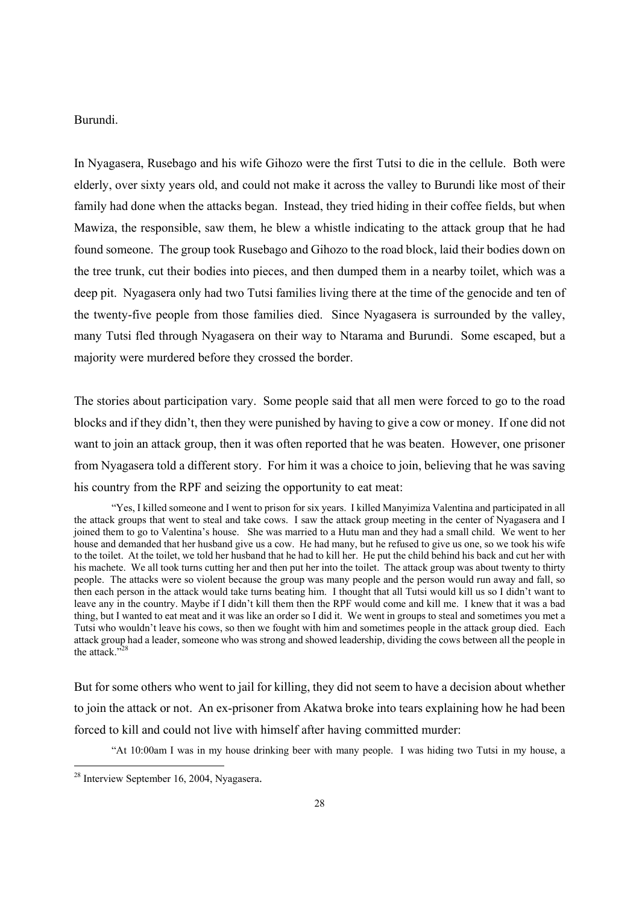#### Burundi.

In Nyagasera, Rusebago and his wife Gihozo were the first Tutsi to die in the cellule. Both were elderly, over sixty years old, and could not make it across the valley to Burundi like most of their family had done when the attacks began. Instead, they tried hiding in their coffee fields, but when Mawiza, the responsible, saw them, he blew a whistle indicating to the attack group that he had found someone. The group took Rusebago and Gihozo to the road block, laid their bodies down on the tree trunk, cut their bodies into pieces, and then dumped them in a nearby toilet, which was a deep pit. Nyagasera only had two Tutsi families living there at the time of the genocide and ten of the twenty-five people from those families died. Since Nyagasera is surrounded by the valley, many Tutsi fled through Nyagasera on their way to Ntarama and Burundi. Some escaped, but a majority were murdered before they crossed the border.

The stories about participation vary. Some people said that all men were forced to go to the road blocks and if they didn't, then they were punished by having to give a cow or money. If one did not want to join an attack group, then it was often reported that he was beaten. However, one prisoner from Nyagasera told a different story. For him it was a choice to join, believing that he was saving his country from the RPF and seizing the opportunity to eat meat:

But for some others who went to jail for killing, they did not seem to have a decision about whether to join the attack or not. An ex-prisoner from Akatwa broke into tears explaining how he had been forced to kill and could not live with himself after having committed murder:

"At 10:00am I was in my house drinking beer with many people. I was hiding two Tutsi in my house, a

<sup>&</sup>quot;Yes, I killed someone and I went to prison for six years. I killed Manyimiza Valentina and participated in all the attack groups that went to steal and take cows. I saw the attack group meeting in the center of Nyagasera and I joined them to go to Valentina's house. She was married to a Hutu man and they had a small child. We went to her house and demanded that her husband give us a cow. He had many, but he refused to give us one, so we took his wife to the toilet. At the toilet, we told her husband that he had to kill her. He put the child behind his back and cut her with his machete. We all took turns cutting her and then put her into the toilet. The attack group was about twenty to thirty people. The attacks were so violent because the group was many people and the person would run away and fall, so then each person in the attack would take turns beating him. I thought that all Tutsi would kill us so I didn't want to leave any in the country. Maybe if I didn't kill them then the RPF would come and kill me. I knew that it was a bad thing, but I wanted to eat meat and it was like an order so I did it. We went in groups to steal and sometimes you met a Tutsi who wouldn't leave his cows, so then we fought with him and sometimes people in the attack group died. Each attack group had a leader, someone who was strong and showed leadership, dividing the cows between all the people in the attack." $\overline{a}$ 

<sup>28</sup> Interview September 16, 2004, Nyagasera.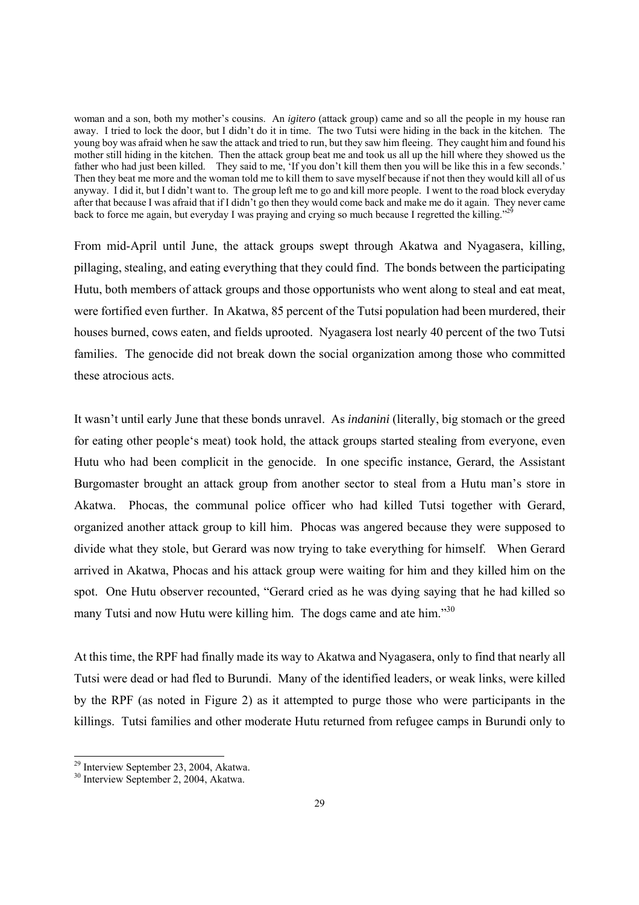woman and a son, both my mother's cousins. An *igitero* (attack group) came and so all the people in my house ran away. I tried to lock the door, but I didn't do it in time. The two Tutsi were hiding in the back in the kitchen. The young boy was afraid when he saw the attack and tried to run, but they saw him fleeing. They caught him and found his mother still hiding in the kitchen. Then the attack group beat me and took us all up the hill where they showed us the father who had just been killed. They said to me, 'If you don't kill them then you will be like this in a few seconds.' Then they beat me more and the woman told me to kill them to save myself because if not then they would kill all of us anyway. I did it, but I didn't want to. The group left me to go and kill more people. I went to the road block everyday after that because I was afraid that if I didn't go then they would come back and make me do it again. They never came back to force me again, but everyday I was praying and crying so much because I regretted the killing."<sup>2</sup>

From mid-April until June, the attack groups swept through Akatwa and Nyagasera, killing, pillaging, stealing, and eating everything that they could find. The bonds between the participating Hutu, both members of attack groups and those opportunists who went along to steal and eat meat, were fortified even further. In Akatwa, 85 percent of the Tutsi population had been murdered, their houses burned, cows eaten, and fields uprooted. Nyagasera lost nearly 40 percent of the two Tutsi families. The genocide did not break down the social organization among those who committed these atrocious acts.

It wasn't until early June that these bonds unravel. As *indanini* (literally, big stomach or the greed for eating other people's meat) took hold, the attack groups started stealing from everyone, even Hutu who had been complicit in the genocide. In one specific instance, Gerard, the Assistant Burgomaster brought an attack group from another sector to steal from a Hutu man's store in Akatwa. Phocas, the communal police officer who had killed Tutsi together with Gerard, organized another attack group to kill him. Phocas was angered because they were supposed to divide what they stole, but Gerard was now trying to take everything for himself. When Gerard arrived in Akatwa, Phocas and his attack group were waiting for him and they killed him on the spot. One Hutu observer recounted, "Gerard cried as he was dying saying that he had killed so many Tutsi and now Hutu were killing him. The dogs came and ate him."30

At this time, the RPF had finally made its way to Akatwa and Nyagasera, only to find that nearly all Tutsi were dead or had fled to Burundi. Many of the identified leaders, or weak links, were killed by the RPF (as noted in Figure 2) as it attempted to purge those who were participants in the killings. Tutsi families and other moderate Hutu returned from refugee camps in Burundi only to

<sup>29</sup> Interview September 23, 2004, Akatwa.

<sup>30</sup> Interview September 2, 2004, Akatwa.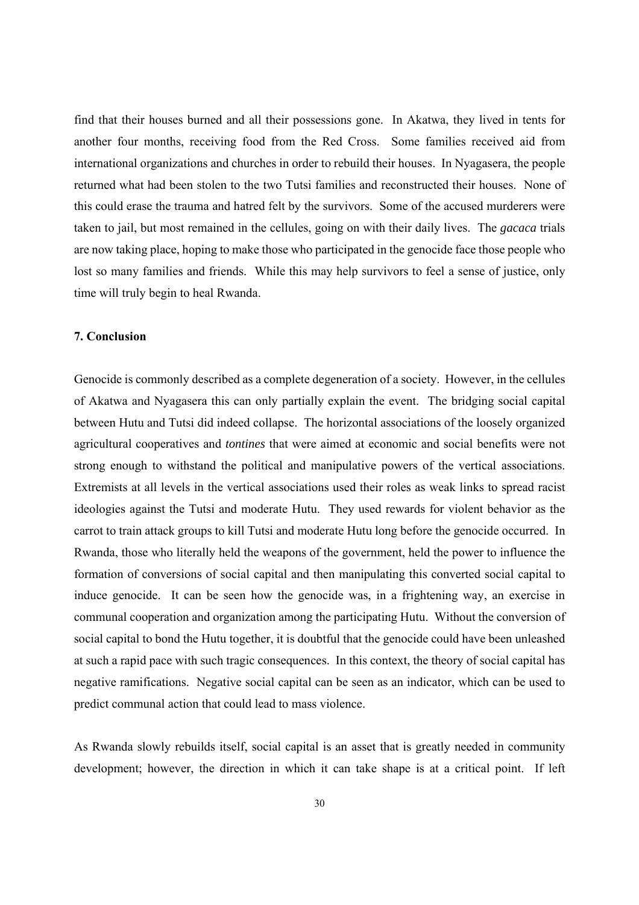find that their houses burned and all their possessions gone. In Akatwa, they lived in tents for another four months, receiving food from the Red Cross. Some families received aid from international organizations and churches in order to rebuild their houses. In Nyagasera, the people returned what had been stolen to the two Tutsi families and reconstructed their houses. None of this could erase the trauma and hatred felt by the survivors. Some of the accused murderers were taken to jail, but most remained in the cellules, going on with their daily lives. The *gacaca* trials are now taking place, hoping to make those who participated in the genocide face those people who lost so many families and friends. While this may help survivors to feel a sense of justice, only time will truly begin to heal Rwanda.

# **7. Conclusion**

Genocide is commonly described as a complete degeneration of a society. However, in the cellules of Akatwa and Nyagasera this can only partially explain the event. The bridging social capital between Hutu and Tutsi did indeed collapse. The horizontal associations of the loosely organized agricultural cooperatives and *tontines* that were aimed at economic and social benefits were not strong enough to withstand the political and manipulative powers of the vertical associations. Extremists at all levels in the vertical associations used their roles as weak links to spread racist ideologies against the Tutsi and moderate Hutu. They used rewards for violent behavior as the carrot to train attack groups to kill Tutsi and moderate Hutu long before the genocide occurred. In Rwanda, those who literally held the weapons of the government, held the power to influence the formation of conversions of social capital and then manipulating this converted social capital to induce genocide. It can be seen how the genocide was, in a frightening way, an exercise in communal cooperation and organization among the participating Hutu. Without the conversion of social capital to bond the Hutu together, it is doubtful that the genocide could have been unleashed at such a rapid pace with such tragic consequences. In this context, the theory of social capital has negative ramifications. Negative social capital can be seen as an indicator, which can be used to predict communal action that could lead to mass violence.

As Rwanda slowly rebuilds itself, social capital is an asset that is greatly needed in community development; however, the direction in which it can take shape is at a critical point. If left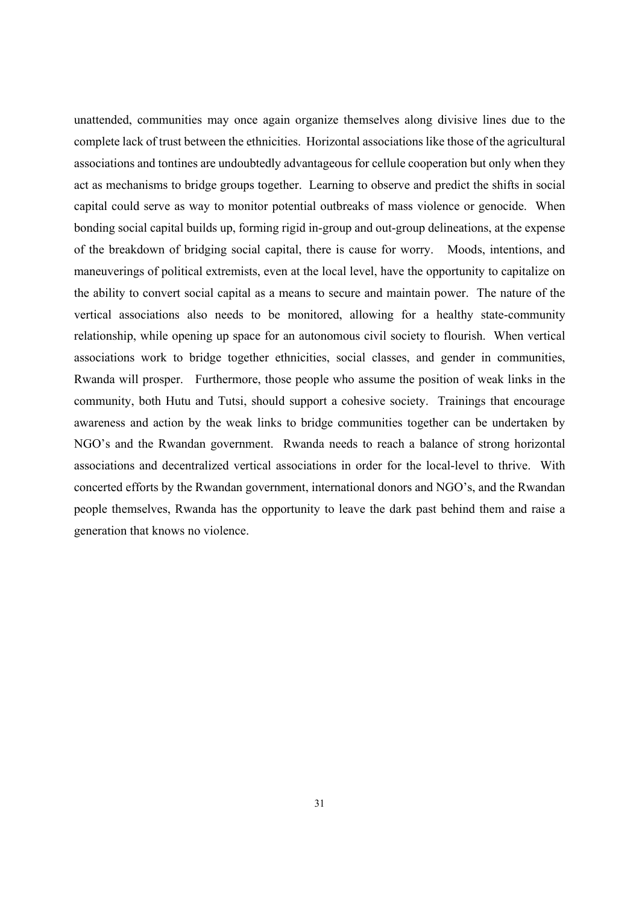unattended, communities may once again organize themselves along divisive lines due to the complete lack of trust between the ethnicities. Horizontal associations like those of the agricultural associations and tontines are undoubtedly advantageous for cellule cooperation but only when they act as mechanisms to bridge groups together. Learning to observe and predict the shifts in social capital could serve as way to monitor potential outbreaks of mass violence or genocide. When bonding social capital builds up, forming rigid in-group and out-group delineations, at the expense of the breakdown of bridging social capital, there is cause for worry. Moods, intentions, and maneuverings of political extremists, even at the local level, have the opportunity to capitalize on the ability to convert social capital as a means to secure and maintain power. The nature of the vertical associations also needs to be monitored, allowing for a healthy state-community relationship, while opening up space for an autonomous civil society to flourish. When vertical associations work to bridge together ethnicities, social classes, and gender in communities, Rwanda will prosper. Furthermore, those people who assume the position of weak links in the community, both Hutu and Tutsi, should support a cohesive society. Trainings that encourage awareness and action by the weak links to bridge communities together can be undertaken by NGO's and the Rwandan government. Rwanda needs to reach a balance of strong horizontal associations and decentralized vertical associations in order for the local-level to thrive. With concerted efforts by the Rwandan government, international donors and NGO's, and the Rwandan people themselves, Rwanda has the opportunity to leave the dark past behind them and raise a generation that knows no violence.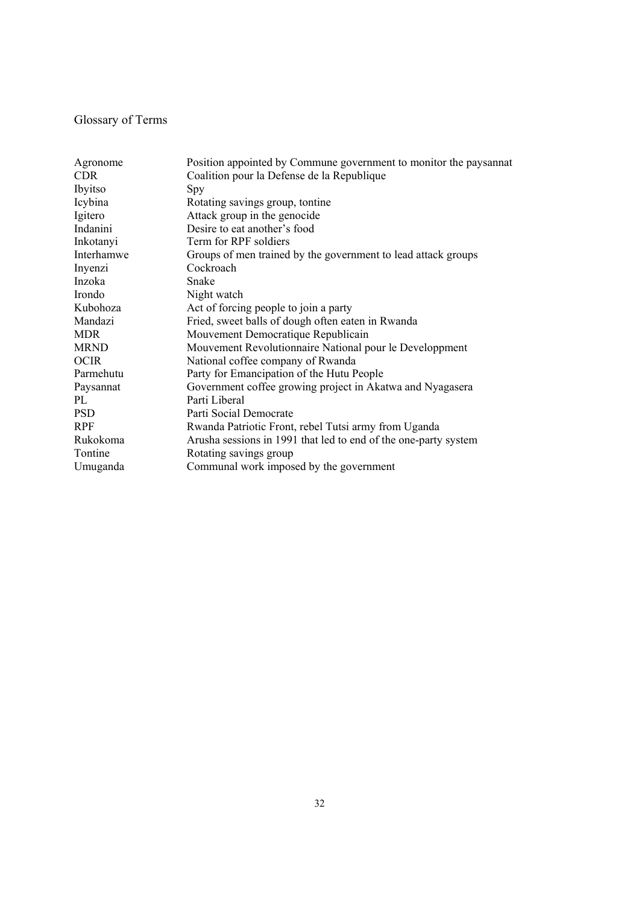# Glossary of Terms

| Position appointed by Commune government to monitor the paysannat |
|-------------------------------------------------------------------|
| Coalition pour la Defense de la Republique                        |
| <b>Spy</b>                                                        |
| Rotating savings group, tontine                                   |
| Attack group in the genocide                                      |
| Desire to eat another's food                                      |
| Term for RPF soldiers                                             |
| Groups of men trained by the government to lead attack groups     |
| Cockroach                                                         |
| Snake                                                             |
| Night watch                                                       |
| Act of forcing people to join a party                             |
| Fried, sweet balls of dough often eaten in Rwanda                 |
| Mouvement Democratique Republicain                                |
| Mouvement Revolutionnaire National pour le Developpment           |
| National coffee company of Rwanda                                 |
| Party for Emancipation of the Hutu People                         |
| Government coffee growing project in Akatwa and Nyagasera         |
| Parti Liberal                                                     |
| Parti Social Democrate                                            |
| Rwanda Patriotic Front, rebel Tutsi army from Uganda              |
| Arusha sessions in 1991 that led to end of the one-party system   |
| Rotating savings group                                            |
| Communal work imposed by the government                           |
|                                                                   |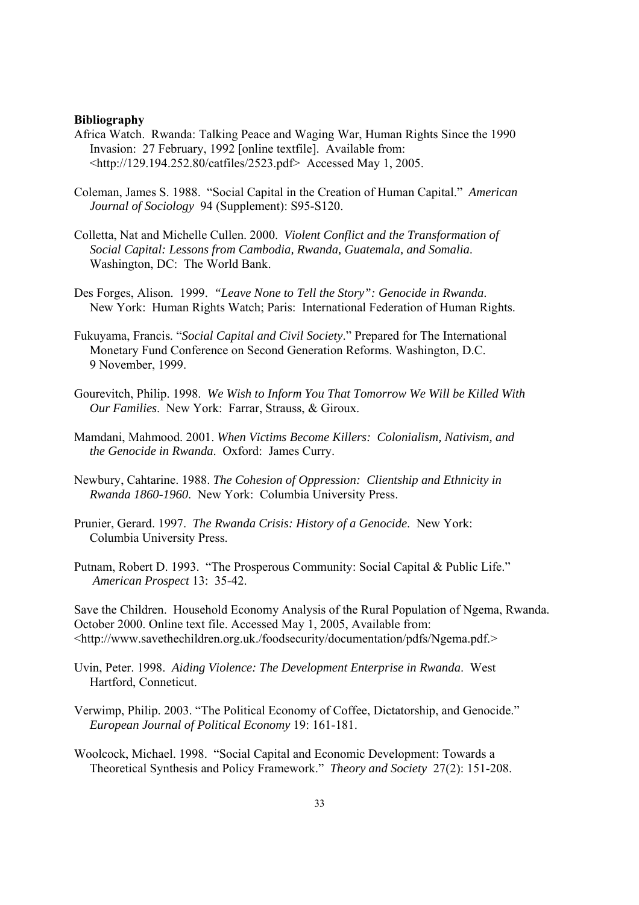#### **Bibliography**

- Africa Watch. Rwanda: Talking Peace and Waging War, Human Rights Since the 1990 Invasion: 27 February, 1992 [online textfile]. Available from: <http://129.194.252.80/catfiles/2523.pdf> Accessed May 1, 2005.
- Coleman, James S. 1988. "Social Capital in the Creation of Human Capital." *American Journal of Sociology* 94 (Supplement): S95-S120.
- Colletta, Nat and Michelle Cullen. 2000. *Violent Conflict and the Transformation of Social Capital: Lessons from Cambodia, Rwanda, Guatemala, and Somalia*. Washington, DC: The World Bank.
- Des Forges, Alison. 1999. *"Leave None to Tell the Story": Genocide in Rwanda*. New York: Human Rights Watch; Paris: International Federation of Human Rights.
- Fukuyama, Francis. "*Social Capital and Civil Society*." Prepared for The International Monetary Fund Conference on Second Generation Reforms. Washington, D.C. 9 November, 1999.
- Gourevitch, Philip. 1998. *We Wish to Inform You That Tomorrow We Will be Killed With Our Families*. New York: Farrar, Strauss, & Giroux.
- Mamdani, Mahmood. 2001. *When Victims Become Killers: Colonialism, Nativism, and the Genocide in Rwanda*. Oxford: James Curry.
- Newbury, Cahtarine. 1988. *The Cohesion of Oppression: Clientship and Ethnicity in Rwanda 1860-1960*. New York: Columbia University Press.
- Prunier, Gerard. 1997. *The Rwanda Crisis: History of a Genocide*. New York: Columbia University Press.
- Putnam, Robert D. 1993. "The Prosperous Community: Social Capital & Public Life."  *American Prospect* 13: 35-42.

Save the Children. Household Economy Analysis of the Rural Population of Ngema, Rwanda. October 2000. Online text file. Accessed May 1, 2005, Available from: <http://www.savethechildren.org.uk./foodsecurity/documentation/pdfs/Ngema.pdf.>

- Uvin, Peter. 1998. *Aiding Violence: The Development Enterprise in Rwanda*. West Hartford, Conneticut.
- Verwimp, Philip. 2003. "The Political Economy of Coffee, Dictatorship, and Genocide."  *European Journal of Political Economy* 19: 161-181.
- Woolcock, Michael. 1998. "Social Capital and Economic Development: Towards a Theoretical Synthesis and Policy Framework." *Theory and Society* 27(2): 151-208.